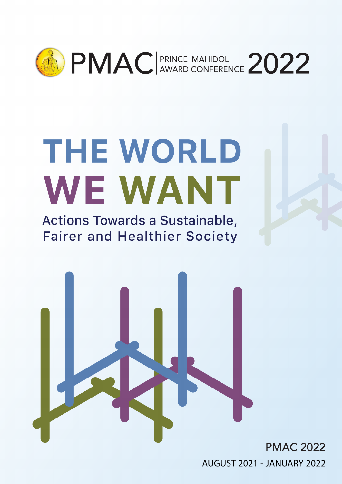

# THE WORLD WE WANT

Actions Towards a Sustainable, **Fairer and Healthier Society** 



**PMAC 2022** AUGUST 2021 - JANUARY 2022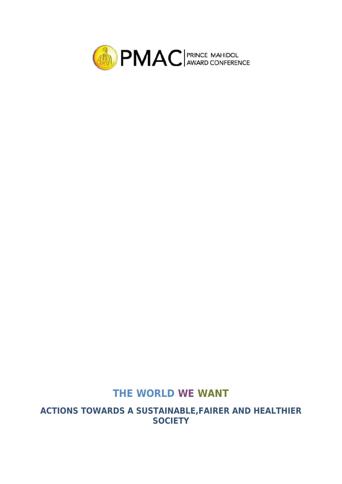

## **THE WORLD WE WANT**

**ACTIONS TOWARDS A SUSTAINABLE,FAIRER AND HEALTHIER SOCIETY**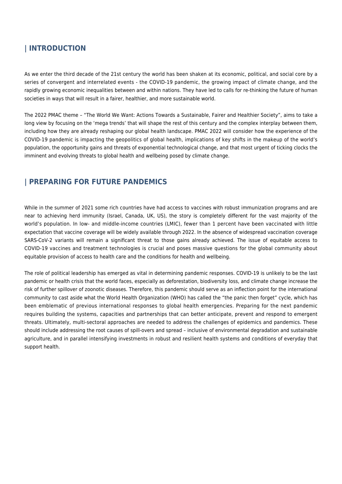#### **| INTRODUCTION**

As we enter the third decade of the 21st century the world has been shaken at its economic, political, and social core by a series of convergent and interrelated events - the COVID-19 pandemic, the growing impact of climate change, and the rapidly growing economic inequalities between and within nations. They have led to calls for re-thinking the future of human societies in ways that will result in a fairer, healthier, and more sustainable world.

The 2022 PMAC theme – "The World We Want: Actions Towards a Sustainable, Fairer and Healthier Society", aims to take a long view by focusing on the 'mega trends' that will shape the rest of this century and the complex interplay between them, including how they are already reshaping our global health landscape. PMAC 2022 will consider how the experience of the COVID-19 pandemic is impacting the geopolitics of global health, implications of key shifts in the makeup of the world's population, the opportunity gains and threats of exponential technological change, and that most urgent of ticking clocks the imminent and evolving threats to global health and wellbeing posed by climate change.

#### **| PREPARING FOR FUTURE PANDEMICS**

While in the summer of 2021 some rich countries have had access to vaccines with robust immunization programs and are near to achieving herd immunity (Israel, Canada, UK, US), the story is completely different for the vast majority of the world's population. In low- and middle-income countries (LMIC), fewer than 1 percent have been vaccinated with little expectation that vaccine coverage will be widely available through 2022. In the absence of widespread vaccination coverage SARS-CoV-2 variants will remain a significant threat to those gains already achieved. The issue of equitable access to COVID-19 vaccines and treatment technologies is crucial and poses massive questions for the global community about equitable provision of access to health care and the conditions for health and wellbeing.

The role of political leadership has emerged as vital in determining pandemic responses. COVID-19 is unlikely to be the last pandemic or health crisis that the world faces, especially as deforestation, biodiversity loss, and climate change increase the risk of further spillover of zoonotic diseases. Therefore, this pandemic should serve as an inflection point for the international community to cast aside what the World Health Organization (WHO) has called the "the panic then forget" cycle, which has been emblematic of previous international responses to global health emergencies. Preparing for the next pandemic requires building the systems, capacities and partnerships that can better anticipate, prevent and respond to emergent threats. Ultimately, multi-sectoral approaches are needed to address the challenges of epidemics and pandemics. These should include addressing the root causes of spill-overs and spread – inclusive of environmental degradation and sustainable agriculture, and in parallel intensifying investments in robust and resilient health systems and conditions of everyday that support health.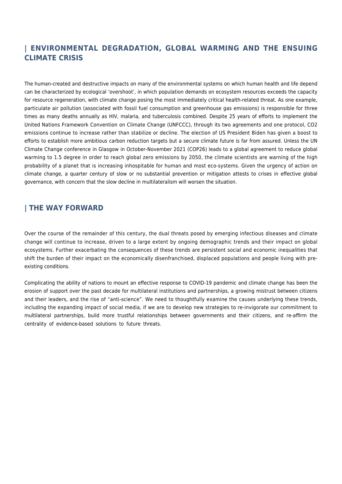#### **| ENVIRONMENTAL DEGRADATION, GLOBAL WARMING AND THE ENSUING CLIMATE CRISIS**

The human-created and destructive impacts on many of the environmental systems on which human health and life depend can be characterized by ecological 'overshoot', in which population demands on ecosystem resources exceeds the capacity for resource regeneration, with climate change posing the most immediately critical health-related threat. As one example, particulate air pollution (associated with fossil fuel consumption and greenhouse gas emissions) is responsible for three times as many deaths annually as HIV, malaria, and tuberculosis combined. Despite 25 years of efforts to implement the United Nations Framework Convention on Climate Change (UNFCCC), through its two agreements and one protocol, CO2 emissions continue to increase rather than stabilize or decline. The election of US President Biden has given a boost to efforts to establish more ambitious carbon reduction targets but a secure climate future is far from assured. Unless the UN Climate Change conference in Glasgow in October-November 2021 (COP26) leads to a global agreement to reduce global warming to 1.5 degree in order to reach global zero emissions by 2050, the climate scientists are warning of the high probability of a planet that is increasing inhospitable for human and most eco-systems. Given the urgency of action on climate change, a quarter century of slow or no substantial prevention or mitigation attests to crises in effective global governance, with concern that the slow decline in multilateralism will worsen the situation.

#### **| THE WAY FORWARD**

Over the course of the remainder of this century, the dual threats posed by emerging infectious diseases and climate change will continue to increase, driven to a large extent by ongoing demographic trends and their impact on global ecosystems. Further exacerbating the consequences of these trends are persistent social and economic inequalities that shift the burden of their impact on the economically disenfranchised, displaced populations and people living with preexisting conditions.

Complicating the ability of nations to mount an effective response to COVID-19 pandemic and climate change has been the erosion of support over the past decade for multilateral institutions and partnerships, a growing mistrust between citizens and their leaders, and the rise of "anti-science". We need to thoughtfully examine the causes underlying these trends, including the expanding impact of social media, if we are to develop new strategies to re-invigorate our commitment to multilateral partnerships, build more trustful relationships between governments and their citizens, and re-affirm the centrality of evidence-based solutions to future threats.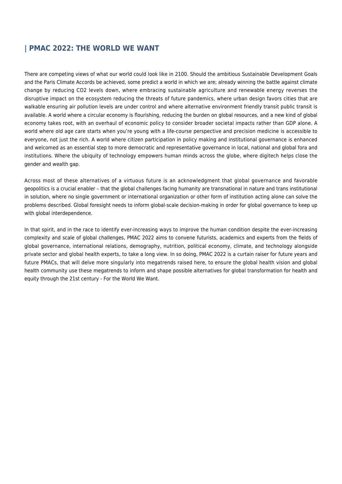#### **| PMAC 2022: THE WORLD WE WANT**

There are competing views of what our world could look like in 2100. Should the ambitious Sustainable Development Goals and the Paris Climate Accords be achieved, some predict a world in which we are; already winning the battle against climate change by reducing CO2 levels down, where embracing sustainable agriculture and renewable energy reverses the disruptive impact on the ecosystem reducing the threats of future pandemics, where urban design favors cities that are walkable ensuring air pollution levels are under control and where alternative environment friendly transit public transit is available. A world where a circular economy is flourishing, reducing the burden on global resources, and a new kind of global economy takes root, with an overhaul of economic policy to consider broader societal impacts rather than GDP alone. A world where old age care starts when you're young with a life-course perspective and precision medicine is accessible to everyone, not just the rich. A world where citizen participation in policy making and institutional governance is enhanced and welcomed as an essential step to more democratic and representative governance in local, national and global fora and institutions. Where the ubiquity of technology empowers human minds across the globe, where digitech helps close the gender and wealth gap.

Across most of these alternatives of a virtuous future is an acknowledgment that global governance and favorable geopolitics is a crucial enabler – that the global challenges facing humanity are transnational in nature and trans institutional in solution, where no single government or international organization or other form of institution acting alone can solve the problems described. Global foresight needs to inform global-scale decision-making in order for global governance to keep up with global interdependence.

In that spirit, and in the race to identify ever-increasing ways to improve the human condition despite the ever-increasing complexity and scale of global challenges, PMAC 2022 aims to convene futurists, academics and experts from the fields of global governance, international relations, demography, nutrition, political economy, climate, and technology alongside private sector and global health experts, to take a long view. In so doing, PMAC 2022 is a curtain raiser for future years and future PMACs, that will delve more singularly into megatrends raised here, to ensure the global health vision and global health community use these megatrends to inform and shape possible alternatives for global transformation for health and equity through the 21st century - For the World We Want.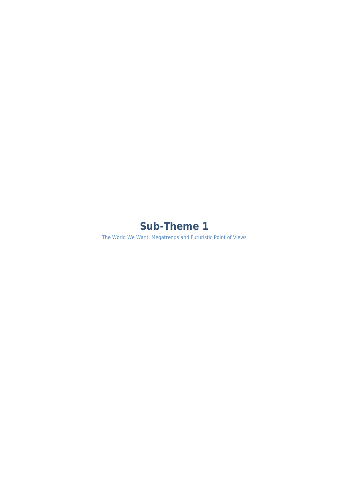# **Sub-Theme 1**

The World We Want: Megatrends and Futuristic Point of Views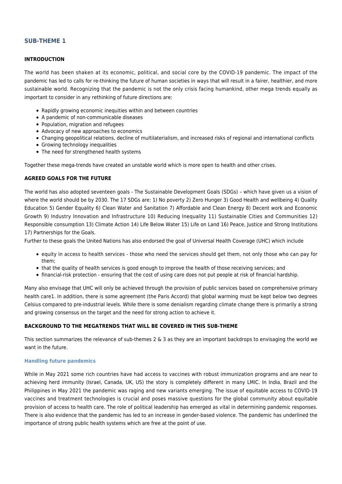#### **SUB-THEME 1**

#### **INTRODUCTION**

The world has been shaken at its economic, political, and social core by the COVID-19 pandemic. The impact of the pandemic has led to calls for re-thinking the future of human societies in ways that will result in a fairer, healthier, and more sustainable world. Recognizing that the pandemic is not the only crisis facing humankind, other mega trends equally as important to consider in any rethinking of future directions are:

- Rapidly growing economic inequities within and between countries
- A pandemic of non-communicable diseases
- Population, migration and refugees
- Advocacy of new approaches to economics
- Changing geopolitical relations, decline of multilaterialism, and increased risks of regional and international conflicts
- Growing technology inequalities
- The need for strengthened health systems

Together these mega-trends have created an unstable world which is more open to health and other crises.

#### **AGREED GOALS FOR THE FUTURE**

The world has also adopted seventeen goals - The Sustainable Development Goals (SDGs) – which have given us a vision of where the world should be by 2030. The 17 SDGs are: 1) No poverty 2) Zero Hunger 3) Good Health and wellbeing 4) Quality Education 5) Gender Equality 6) Clean Water and Sanitation 7) Affordable and Clean Energy 8) Decent work and Economic Growth 9) Industry Innovation and Infrastructure 10) Reducing Inequality 11) Sustainable Cities and Communities 12) Responsible consumption 13) Climate Action 14) Life Below Water 15) Life on Land 16) Peace, Justice and Strong Institutions 17) Partnerships for the Goals.

Further to these goals the United Nations has also endorsed the goal of Universal Health Coverage (UHC) which include

- equity in access to health services those who need the services should get them, not only those who can pay for them;
- that the quality of health services is good enough to improve the health of those receiving services; and
- financial-risk protection ensuring that the cost of using care does not put people at risk of financial hardship.

Many also envisage that UHC will only be achieved through the provision of public services based on comprehensive primary health care1. In addition, there is some agreement (the Paris Accord) that global warming must be kept below two degrees Celsius compared to pre-industrial levels. While there is some denialism regarding climate change there is primarily a strong and growing consensus on the target and the need for strong action to achieve it.

#### **BACKGROUND TO THE MEGATRENDS THAT WILL BE COVERED IN THIS SUB-THEME**

This section summarizes the relevance of sub-themes 2 & 3 as they are an important backdrops to envisaging the world we want in the future.

#### **Handling future pandemics**

While in May 2021 some rich countries have had access to vaccines with robust immunization programs and are near to achieving herd immunity (Israel, Canada, UK, US) the story is completely different in many LMIC. In India, Brazil and the Philippines in May 2021 the pandemic was raging and new variants emerging. The issue of equitable access to COVID-19 vaccines and treatment technologies is crucial and poses massive questions for the global community about equitable provision of access to health care. The role of political leadership has emerged as vital in determining pandemic responses. There is also evidence that the pandemic has led to an increase in gender-based violence. The pandemic has underlined the importance of strong public health systems which are free at the point of use.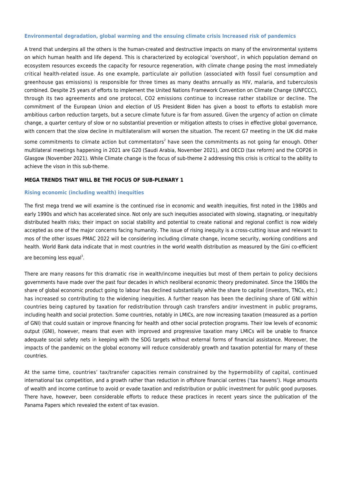#### **Environmental degradation, global warming and the ensuing climate crisis Increased risk of pandemics**

A trend that underpins all the others is the human-created and destructive impacts on many of the environmental systems on which human health and life depend. This is characterized by ecological 'overshoot', in which population demand on ecosystem resources exceeds the capacity for resource regeneration, with climate change posing the most immediately critical health-related issue. As one example, particulate air pollution (associated with fossil fuel consumption and greenhouse gas emissions) is responsible for three times as many deaths annually as HIV, malaria, and tuberculosis combined. Despite 25 years of efforts to implement the United Nations Framework Convention on Climate Change (UNFCCC), through its two agreements and one protocol, CO2 emissions continue to increase rather stabilize or decline. The commitment of the European Union and election of US President Biden has given a boost to efforts to establish more ambitious carbon reduction targets, but a secure climate future is far from assured. Given the urgency of action on climate change, a quarter century of slow or no substantial prevention or mitigation attests to crises in effective global governance, with concern that the slow decline in multilateralism will worsen the situation. The recent G7 meeting in the UK did make

some commitments to climate action but commentators<sup>2</sup> have seen the commitments as not going far enough. Other multilateral meetings happening in 2021 are G20 (Saudi Arabia, November 2021), and OECD (tax reform) and the COP26 in Glasgow (November 2021). While Climate change is the focus of sub-theme 2 addressing this crisis is critical to the ability to achieve the vison in this sub-theme.

#### **MEGA TRENDS THAT WILL BE THE FOCUS OF SUB-PLENARY 1**

#### **Rising economic (including wealth) inequities**

The first mega trend we will examine is the continued rise in economic and wealth inequities, first noted in the 1980s and early 1990s and which has accelerated since. Not only are such inequities associated with slowing, stagnating, or inequitably distributed health risks; their impact on social stability and potential to create national and regional conflict is now widely accepted as one of the major concerns facing humanity. The issue of rising inequity is a cross-cutting issue and relevant to mos of the other issues PMAC 2022 will be considering including climate change, income security, working conditions and health. World Bank data indicate that in most countries in the world wealth distribution as measured by the Gini co-efficient are becoming less equal<sup>3</sup>.

There are many reasons for this dramatic rise in wealth/income inequities but most of them pertain to policy decisions governments have made over the past four decades in which neoliberal economic theory predominated. Since the 1980s the share of global economic product going to labour has declined substantially while the share to capital (investors, TNCs, etc.) has increased so contributing to the widening inequities. A further reason has been the declining share of GNI within countries being captured by taxation for redistribution through cash transfers and/or investment in public programs, including health and social protection. Some countries, notably in LMICs, are now increasing taxation (measured as a portion of GNI) that could sustain or improve financing for health and other social protection programs. Their low levels of economic output (GNI), however, means that even with improved and progressive taxation many LMICs will be unable to finance adequate social safety nets in keeping with the SDG targets without external forms of financial assistance. Moreover, the impacts of the pandemic on the global economy will reduce considerably growth and taxation potential for many of these countries.

At the same time, countries' tax/transfer capacities remain constrained by the hypermobility of capital, continued international tax competition, and a growth rather than reduction in offshore financial centres ('tax havens'). Huge amounts of wealth and income continue to avoid or evade taxation and redistribution or public investment for public good purposes. There have, however, been considerable efforts to reduce these practices in recent years since the publication of the Panama Papers which revealed the extent of tax evasion.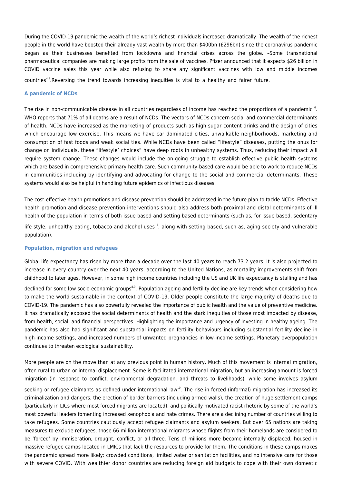During the COVID-19 pandemic the wealth of the world's richest individuals increased dramatically. The wealth of the richest people in the world have boosted their already vast wealth by more than \$400bn (£296bn) since the coronavirus pandemic began as their businesses benefited from lockdowns and financial crises across the globe. –Some transnational pharmaceutical companies are making large profits from the sale of vaccines. Pfizer announced that it expects \$26 billion in COVID vaccine sales this year while also refusing to share any significant vaccines with low and middle incomes countries4,5.Reversing the trend towards increasing inequities is vital to a healthy and fairer future.

#### **A pandemic of NCDs**

The rise in non-communicable disease in all countries regardless of income has reached the proportions of a pandemic  $^\circ$ . WHO reports that 71% of all deaths are a result of NCDs. The vectors of NCDs concern social and commercial determinants of health. NCDs have increased as the marketing of products such as high sugar content drinks and the design of cities which encourage low exercise. This means we have car dominated cities, unwalkable neighborhoods, marketing and consumption of fast foods and weak social ties. While NCDs have been called "lifestyle" diseases, putting the onus for change on individuals, these "lifestyle' choices" have deep roots in unhealthy systems. Thus, reducing their impact will require system change. These changes would include the on-going struggle to establish effective public health systems which are based in comprehensive primary health care. Such community-based care would be able to work to reduce NCDs in communities including by identifying and advocating for change to the social and commercial determinants. These systems would also be helpful in handling future epidemics of infectious diseases.

The cost-effective health promotions and disease prevention should be addressed in the future plan to tackle NCDs. Effective health promotion and disease prevention interventions should also address both proximal and distal determinants of ill health of the population in terms of both issue based and setting based determinants (such as, for issue based, sedentary

life style, unhealthy eating, tobacco and alcohol uses <sup>7</sup>, along with setting based, such as, aging society and vulnerable population).

#### **Population, migration and refugees**

Global life expectancy has risen by more than a decade over the last 40 years to reach 73.2 years. It is also projected to increase in every country over the next 40 years, according to the United Nations, as mortality improvements shift from childhood to later ages. However, in some high income countries including the US and UK life expectancy is stalling and has

declined for some low socio-economic groups<sup>8,9</sup>. Population ageing and fertility decline are key trends when considering how to make the world sustainable in the context of COVID-19. Older people constitute the large majority of deaths due to COVID-19. The pandemic has also powerfully revealed the importance of public health and the value of preventive medicine. It has dramatically exposed the social determinants of health and the stark inequities of those most impacted by disease, from health, social, and financial perspectives. Highlighting the importance and urgency of investing in healthy ageing. The pandemic has also had significant and substantial impacts on fertility behaviours including substantial fertility decline in high-income settings, and increased numbers of unwanted pregnancies in low-income settings. Planetary overpopulation continues to threaten ecological sustainability.

More people are on the move than at any previous point in human history. Much of this movement is internal migration, often rural to urban or internal displacement. Some is facilitated international migration, but an increasing amount is forced migration (in response to conflict, environmental degradation, and threats to livelihoods), while some involves asylum

seeking or refugee claimants as defined under international law<sup>10</sup>. The rise in forced (informal) migration has increased its criminalization and dangers, the erection of border barriers (including armed walls), the creation of huge settlement camps (particularly in LICs where most forced migrants are located), and politically motivated racist rhetoric by some of the world's most powerful leaders fomenting increased xenophobia and hate crimes. There are a declining number of countries willing to take refugees. Some countries cautiously accept refugee claimants and asylum seekers. But over 65 nations are taking measures to exclude refugees, those 66 million international migrants whose flights from their homelands are considered to be 'forced' by immiseration, drought, conflict, or all three. Tens of millions more become internally displaced, housed in massive refugee camps located in LMICs that lack the resources to provide for them. The conditions in these camps makes the pandemic spread more likely: crowded conditions, limited water or sanitation facilities, and no intensive care for those with severe COVID. With wealthier donor countries are reducing foreign aid budgets to cope with their own domestic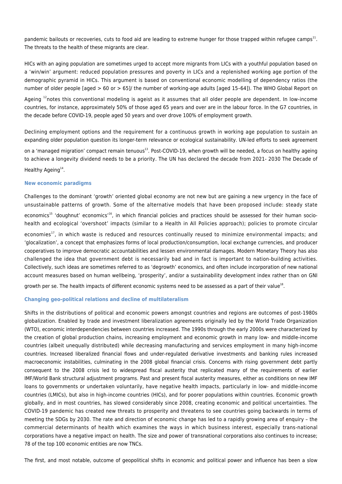pandemic bailouts or recoveries, cuts to food aid are leading to extreme hunger for those trapped within refugee camps<sup>11</sup>. The threats to the health of these migrants are clear.

HICs with an aging population are sometimes urged to accept more migrants from LICs with a youthful population based on a 'win/win' argument: reduced population pressures and poverty in LICs and a replenished working age portion of the demographic pyramid in HICs. This argument is based on conventional economic modelling of dependency ratios (the number of older people [aged > 60 or > 65]/ the number of working-age adults [aged 15–64]). The WHO Global Report on

Ageing <sup>12</sup>notes this conventional modeling is ageist as it assumes that all older people are dependent. In low-income countries, for instance, approximately 50% of those aged 65 years and over are in the labour force. In the G7 countries, in the decade before COVID-19, people aged 50 years and over drove 100% of employment growth.

Declining employment options and the requirement for a continuous growth in working age population to sustain an expanding older population question its longer-term relevance or ecological sustainability. UN-led efforts to seek agreement on a 'managed migration' compact remain tenuous<sup>13</sup>. Post-COVID-19, when growth will be needed, a focus on healthy ageing to achieve a longevity dividend needs to be a priority. The UN has declared the decade from 2021- 2030 The Decade of Healthy Ageing $^{14}$ .

#### **New economic paradigms**

Challenges to the dominant 'growth' oriented global economy are not new but are gaining a new urgency in the face of unsustainable patterns of growth. Some of the alternative models that have been proposed include: steady state economics<sup>15</sup> 'doughnut' economics<sup>16</sup>, in which financial policies and practices should be assessed for their human sociohealth and ecological 'overshoot' impacts (similar to a Health in All Policies approach); policies to promote circular economies<sup>17</sup>, in which waste is reduced and resources continually reused to minimize environmental impacts; and 'glocalization', a concept that emphasizes forms of local production/consumption, local exchange currencies, and producer cooperatives to improve democratic accountabilities and lessen environmental damages. Modern Monetary Theory has also challenged the idea that government debt is necessarily bad and in fact is important to nation-building activities. Collectively, such ideas are sometimes referred to as 'degrowth' economics, and often include incorporation of new national account measures based on human wellbeing, 'prosperity', and/or a sustainability development index rather than on GNI

growth per se. The health impacts of different economic systems need to be assessed as a part of their value<sup>18</sup>.

#### **Changing geo-political relations and decline of multilateralism**

Shifts in the distributions of political and economic powers amongst countries and regions are outcomes of post-1980s globalization. Enabled by trade and investment liberalization agreements originally led by the World Trade Organization (WTO), economic interdependencies between countries increased. The 1990s through the early 2000s were characterized by the creation of global production chains, increasing employment and economic growth in many low- and middle-income countries (albeit unequally distributed) while decreasing manufacturing and services employment in many high-income countries. Increased liberalized financial flows and under-regulated derivative investments and banking rules increased macroeconomic instabilities, culminating in the 2008 global financial crisis. Concerns with rising government debt partly consequent to the 2008 crisis led to widespread fiscal austerity that replicated many of the requirements of earlier IMF/World Bank structural adjustment programs. Past and present fiscal austerity measures, either as conditions on new IMF loans to governments or undertaken voluntarily, have negative health impacts, particularly in low- and middle-income countries (LMICs), but also in high-income countries (HICs), and for poorer populations within countries. Economic growth globally, and in most countries, has slowed considerably since 2008, creating economic and political uncertainties. The COVID-19 pandemic has created new threats to prosperity and threatens to see countries going backwards in terms of meeting the SDGs by 2030. The rate and direction of economic change has led to a rapidly growing area of enquiry – the commercial determinants of health which examines the ways in which business interest, especially trans-national corporations have a negative impact on health. The size and power of transnational corporations also continues to increase; 78 of the top 100 economic entities are now TNCs.

The first, and most notable, outcome of geopolitical shifts in economic and political power and influence has been a slow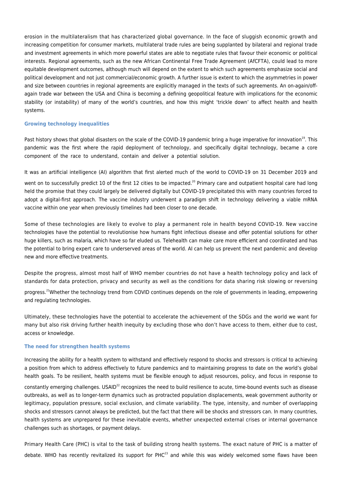erosion in the multilateralism that has characterized global governance. In the face of sluggish economic growth and increasing competition for consumer markets, multilateral trade rules are being supplanted by bilateral and regional trade and investment agreements in which more powerful states are able to negotiate rules that favour their economic or political interests. Regional agreements, such as the new African Continental Free Trade Agreement (AfCFTA), could lead to more equitable development outcomes, although much will depend on the extent to which such agreements emphasize social and political development and not just commercial/economic growth. A further issue is extent to which the asymmetries in power and size between countries in regional agreements are explicitly managed in the texts of such agreements. An on-again/offagain trade war between the USA and China is becoming a defining geopolitical feature with implications for the economic stability (or instability) of many of the world's countries, and how this might 'trickle down' to affect health and health systems.

#### **Growing technology inequalities**

Past history shows that global disasters on the scale of the COVID-19 pandemic bring a huge imperative for innovation<sup>19</sup>. This pandemic was the first where the rapid deployment of technology, and specifically digital technology, became a core component of the race to understand, contain and deliver a potential solution.

It was an artificial intelligence (AI) algorithm that first alerted much of the world to COVID-19 on 31 December 2019 and

went on to successfully predict 10 of the first 12 cities to be impacted.<sup>20</sup> Primary care and outpatient hospital care had long held the promise that they could largely be delivered digitally but COVID-19 precipitated this with many countries forced to adopt a digital-first approach. The vaccine industry underwent a paradigm shift in technology delivering a viable mRNA vaccine within one year when previously timelines had been closer to one decade.

Some of these technologies are likely to evolve to play a permanent role in health beyond COVID-19. New vaccine technologies have the potential to revolutionise how humans fight infectious disease and offer potential solutions for other huge killers, such as malaria, which have so far eluded us. Telehealth can make care more efficient and coordinated and has the potential to bring expert care to underserved areas of the world. AI can help us prevent the next pandemic and develop new and more effective treatments.

Despite the progress, almost most half of WHO member countries do not have a health technology policy and lack of standards for data protection, privacy and security as well as the conditions for data sharing risk slowing or reversing progress.<sup>21</sup>Whether the technology trend from COVID continues depends on the role of governments in leading, empowering

Ultimately, these technologies have the potential to accelerate the achievement of the SDGs and the world we want for many but also risk driving further health inequity by excluding those who don't have access to them, either due to cost, access or knowledge.

#### **The need for strengthen health systems**

and regulating technologies.

Increasing the ability for a health system to withstand and effectively respond to shocks and stressors is critical to achieving a position from which to address effectively to future pandemics and to maintaining progress to date on the world's global health goals. To be resilient, health systems must be flexible enough to adjust resources, policy, and focus in response to constantly emerging challenges. USAID<sup>22</sup> recognizes the need to build resilience to acute, time-bound events such as disease outbreaks, as well as to longer-term dynamics such as protracted population displacements, weak government authority or legitimacy, population pressure, social exclusion, and climate variability. The type, intensity, and number of overlapping shocks and stressors cannot always be predicted, but the fact that there will be shocks and stressors can. In many countries, health systems are unprepared for these inevitable events, whether unexpected external crises or internal governance challenges such as shortages, or payment delays.

Primary Health Care (PHC) is vital to the task of building strong health systems. The exact nature of PHC is a matter of debate. WHO has recently revitalized its support for PHC<sup>23</sup> and while this was widely welcomed some flaws have been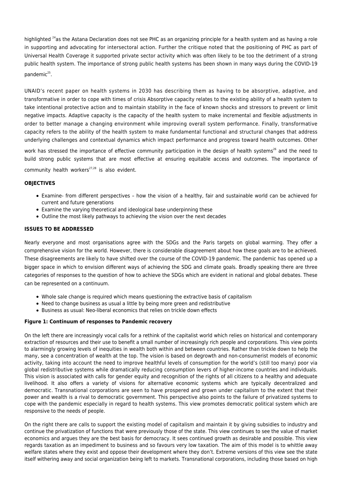highlighted <sup>24</sup>as the Astana Declaration does not see PHC as an organizing principle for a health system and as having a role in supporting and advocating for intersectoral action. Further the critique noted that the positioning of PHC as part of Universal Health Coverage it supported private sector activity which was often likely to be too the detriment of a strong public health system. The importance of strong public health systems has been shown in many ways during the COVID-19 pandemic<sup>25</sup>.

UNAID's recent paper on health systems in 2030 has describing them as having to be absorptive, adaptive, and transformative in order to cope with times of crisis Absorptive capacity relates to the existing ability of a health system to take intentional protective action and to maintain stability in the face of known shocks and stressors to prevent or limit negative impacts. Adaptive capacity is the capacity of the health system to make incremental and flexible adjustments in order to better manage a changing environment while improving overall system performance. Finally, transformative capacity refers to the ability of the health system to make fundamental functional and structural changes that address underlying challenges and contextual dynamics which impact performance and progress toward health outcomes. Other

work has stressed the importance of effective community participation in the design of health systems<sup>26</sup> and the need to build strong public systems that are most effective at ensuring equitable access and outcomes. The importance of

community health workers $27,28$  is also evident.

#### **OBJECTIVES**

- Examine- from different perspectives how the vision of a healthy, fair and sustainable world can be achieved for current and future generations
- Examine the varying theoretical and ideological base underpinning these
- Outline the most likely pathways to achieving the vision over the next decades

#### **ISSUES TO BE ADDRESSED**

Nearly everyone and most organisations agree with the SDGs and the Paris targets on global warming. They offer a comprehensive vision for the world. However, there is considerable disagreement about how these goals are to be achieved. These disagreements are likely to have shifted over the course of the COVID-19 pandemic. The pandemic has opened up a bigger space in which to envision different ways of achieving the SDG and climate goals. Broadly speaking there are three categories of responses to the question of how to achieve the SDGs which are evident in national and global debates. These can be represented on a continuum.

- Whole sale change is required which means questioning the extractive basis of capitalism
- Need to change business as usual a little by being more green and redistributive
- Business as usual: Neo-liberal economics that relies on trickle down effects

#### **Figure 1: Continuum of responses to Pandemic recovery**

On the left there are increasingly vocal calls for a rethink of the capitalist world which relies on historical and contemporary extraction of resources and their use to benefit a small number of increasingly rich people and corporations. This view points to alarmingly growing levels of inequities in wealth both within and between countries. Rather than trickle down to help the many, see a concentration of wealth at the top. The vision is based on degrowth and non-consumerist models of economic activity, taking into account the need to improve healthful levels of consumption for the world's (still too many) poor via global redistributive systems while dramatically reducing consumption levers of higher-income countries and individuals. This vision is associated with calls for gender equity and recognition of the rights of all citizens to a healthy and adequate livelihood. It also offers a variety of visions for alternative economic systems which are typically decentralized and democratic. Transnational corporations are seen to have prospered and grown under capitalism to the extent that their power and wealth is a rival to democratic government. This perspective also points to the failure of privatized systems to cope with the pandemic especially in regard to health systems. This view promotes democratic political system which are responsive to the needs of people.

On the right there are calls to support the existing model of capitalism and maintain it by giving subsidies to industry and continue the privatization of functions that were previously those of the state. This view continues to see the value of market economics and argues they are the best basis for democracy. It sees continued growth as desirable and possible. This view regards taxation as an impediment to business and so favours very low taxation. The aim of this model is to whittle away welfare states where they exist and oppose their development where they don't. Extreme versions of this view see the state itself withering away and social organization being left to markets. Transnational corporations, including those based on high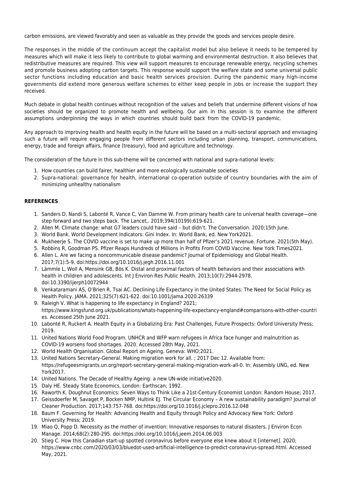carbon emissions, are viewed favorably and seen as valuable as they provide the goods and services people desire.

The responses in the middle of the continuum accept the capitalist model but also believe it needs to be tempered by measures which will make it less likely to contribute to global warming and environmental destruction. It also believes that redistributive measures are required. This view will support measures to encourage renewable energy, recycling schemes and promote business adopting carbon targets. This response would support the welfare state and some universal public sector functions including education and basic health services provision. During the pandemic many high-income governments did extend more generous welfare schemes to either keep people in jobs or increase the support they received.

Much debate in global health continues without recognition of the values and beliefs that undermine different visions of how societies should be organized to promote health and wellbeing. Our aim in this session is to examine the different assumptions underpinning the ways in which countries should build back from the COVID-19 pandemic.

Any approach to improving health and health equity in the future will be based on a multi-sectoral approach and envisaging such a future will require engaging people from different sectors including urban planning, transport, communications, energy, trade and foreign affairs, finance (treasury), food and agriculture and technology.

The consideration of the future in this sub-theme will be concerned with national and supra-national levels:

- 1. How countries can build fairer, healthier and more ecologically sustainable societies
- 2. Supra-national: governance for health, international co-operation outside of country boundaries with the aim of minimizing unhealthy nationalism

#### **REFERENCES**

- 1. Sanders D, Nandi S, Labonté R, Vance C, Van Damme W. From primary health care to universal health coverage—one step forward and two steps back. The Lancet,. 2019;394(10199):619-621.
- 2. Allen M. Climate change: what G7 leaders could have said but didn't. The Conversation. 2020;15th June.
- 3. World Bank. World Development Indicators: Gini Index. In: World Bank, ed. New York2021.
- 4. Mukheerje S. The COVID vaccine is set to make up more than half of Pfizer's 2021 revenue. Fortune. 2021(5th May).
- 5. Robbins R, Goodman PS. Pfizer Reaps Hundreds of Millions in Profits From COVID Vaccine. New York Times2021.
- 6. Allen L. Are we facing a noncommunicable disease pandemic? Journal of Epidemiology and Global Health. 2017;7(1):5-9. doi:https://doi.org/10.1016/j.jegh.2016.11.001
- 7. Lämmle L, Woll A, Mensink GB, Bös K. Distal and proximal factors of health behaviors and their associations with health in children and adolescents. Int | Environ Res Public Health. 2013;10(7):2944-2978. doi:10.3390/ijerph10072944
- 8. Venkataramani AS, O'Brien R, Tsai AC. Declining Life Expectancy in the United States: The Need for Social Policy as Health Policy. JAMA. 2021;325(7):621-622. doi:10.1001/jama.2020.26339
- 9. Raleigh V. What is happening to life expectancy in England? 2021; https://www.kingsfund.org.uk/publications/whats-happening-life-expectancy-england#comparisons-with-other-countri es. Accessed 25th June 2021.
- 10. Labonté R, Ruckert A. Health Equity in a Globalizing Era: Past Challenges, Future Prospects: Oxford University Press; 2019.
- 11. United Nations World Food Program. UNHCR and WFP warn refugees in Africa face hunger and malnutrition as COVID-19 worsens food shortages. 2020. Accessed 28th May, 2021.
- 12. World Health Organisation. Global Report on Ageing. Geneva: WHO;2021.
- 13. United Nations Secretary-General. Making migration work for all. ; 2017 Dec 12. Available from: https://refugeesmigrants.un.org/report-secretary-general-making-migration-work-all-0. In: Assembly UNG, ed. New York2017.
- 14. United Nations. The Decade of Healthy Ageing: a new UN-wide initiative2020.
- 15. Daly HE. Steady State Economics. London: Earthscan; 1992.
- 16. Raworth K. Doughnut Economics: Seven Ways to Think Like a 21st-Century Economist London: Random House; 2017.
- 17. Geissdoerfer M, Savaget P, Bocken NMP, Hultink EJ. The Circular Economy A new sustainability paradigm? Journal of Cleaner Production. 2017;143:757-768. doi:https://doi.org/10.1016/j.jclepro.2016.12.048
- 18. Baum F. Governing for Health: Advancing Health and Equity through Policy and Advocacy New York: Oxford University Press; 2019.
- 19. Miao Q, Popp D. Necessity as the mother of invention: Innovative responses to natural disasters. J Environ Econ Manage. 2014;68(2):280-295. doi:https://doi.org/10.1016/j.jeem.2014.06.003
- 20. Stieg C. How this Canadian start-up spotted coronavirus before everyone else knew about it [internet]. 2020; https://www.cnbc.com/2020/03/03/bluedot-used-artificial-intelligence-to-predict-coronavirus-spread.html. Accessed May, 2021.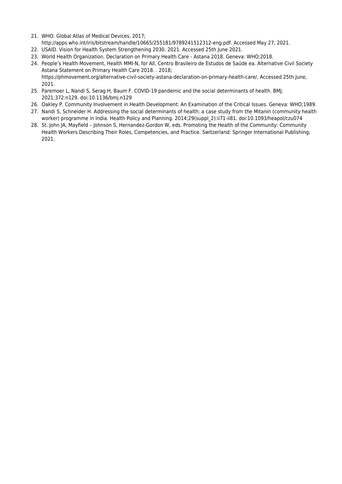- 21. WHO. Global Atlas of Medical Devices. 2017; http://apps.who.int/iris/bitstream/handle/10665/255181/9789241512312-eng.pdf. Accessed May 27, 2021.
- 22. USAID. Vision for Health System Strengthening 2030. 2021. Accessed 25th June 2021.
- 23. World Health Organization. Declaration on Primary Health Care Astana 2018. Geneva: WHO;2018.
- 24. People's Health Movement, Health MMI-N, for All, Centro Brasileiro de Estudos de Saúde ea. Alternative Civil Society Astana Statement on Primary Health Care 2018. . 2018; https://phmovement.org/alternative-civil-society-astana-declaration-on-primary-health-care/. Accessed 25th June, 2021.
- 25. Paremoer L, Nandi S, Serag H, Baum F. COVID-19 pandemic and the social determinants of health. BMJ. 2021;372:n129. doi:10.1136/bmj.n129
- 26. Oakley P. Community Involvement in Health Development: An Examination of the Critical Issues. Geneva: WHO;1989.
- 27. Nandi S, Schneider H. Addressing the social determinants of health: a case study from the Mitanin (community health worker) programme in India. Health Policy and Planning. 2014;29(suppl\_2):ii71-ii81. doi:10.1093/heapol/czu074
- 28. St. John JA, Mayfield Johnson S, Hernandez-Gordon W, eds. Promoting the Health of the Community: Community Health Workers Describing Their Roles, Competencies, and Practice. Switzerland: Springer International Publishing; 2021.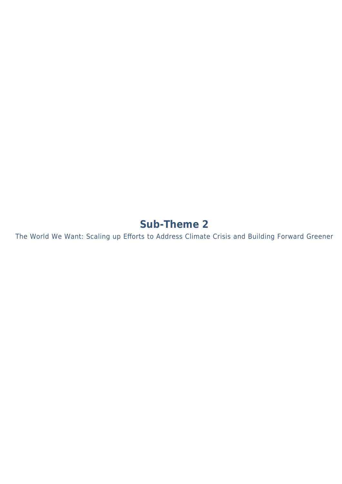# **Sub-Theme 2**

The World We Want: Scaling up Efforts to Address Climate Crisis and Building Forward Greener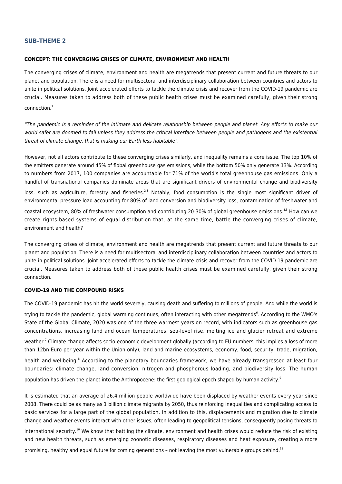#### **SUB-THEME 2**

#### **CONCEPT: THE CONVERGING CRISES OF CLIMATE, ENVIRONMENT AND HEALTH**

The converging crises of climate, environment and health are megatrends that present current and future threats to our planet and population. There is a need for multisectoral and interdisciplinary collaboration between countries and actors to unite in political solutions. Joint accelerated efforts to tackle the climate crisis and recover from the COVID-19 pandemic are crucial. Measures taken to address both of these public health crises must be examined carefully, given their strong  $connection<sup>1</sup>$ 

"The pandemic is a reminder of the intimate and delicate relationship between people and planet. Any efforts to make our world safer are doomed to fail unless they address the critical interface between people and pathogens and the existential threat of climate change, that is making our Earth less habitable".

However, not all actors contribute to these converging crises similarly, and inequality remains a core issue. The top 10% of the emitters generate around 45% of flobal greenhouse gas emissions, while the bottom 50% only generate 13%. According to numbers from 2017, 100 companies are accountable for 71% of the world's total greenhouse gas emissions. Only a handful of transnational companies dominate areas that are significant drivers of environmental change and biodiversity

loss, such as agriculture, forestry and fisheries.<sup>2,3</sup> Notably, food consumption is the single most significant driver of environmental pressure load accounting for 80% of land conversion and biodiversity loss, contamination of freshwater and

coastal ecosystem, 80% of freshwater consumption and contributing 20-30% of global greenhouse emissions.<sup>4,5</sup> How can we create rights-based systems of equal distribution that, at the same time, battle the converging crises of climate, environment and health?

The converging crises of climate, environment and health are megatrends that present current and future threats to our planet and population. There is a need for multisectoral and interdisciplinary collaboration between countries and actors to unite in political solutions. Joint accelerated efforts to tackle the climate crisis and recover from the COVID-19 pandemic are crucial. Measures taken to address both of these public health crises must be examined carefully, given their strong connection.

#### **COVID-19 AND THE COMPOUND RISKS**

The COVID-19 pandemic has hit the world severely, causing death and suffering to millions of people. And while the world is

trying to tackle the pandemic, global warming continues, often interacting with other megatrends<sup>6</sup>. According to the WMO's State of the Global Climate, 2020 was one of the three warmest years on record, with indicators such as greenhouse gas concentrations, increasing land and ocean temperatures, sea-level rise, melting ice and glacier retreat and extreme

weather.<sup>7</sup> Climate change affects socio-economic development globally (according to EU numbers, this implies a loss of more than 12bn Euro per year within the Union only), land and marine ecosystems, economy, food, security, trade, migration,

health and wellbeing.<sup>8</sup> According to the planetary boundaries framework, we have already transgressed at least four boundaries: climate change, land conversion, nitrogen and phosphorous loading, and biodiversity loss. The human

population has driven the planet into the Anthropocene: the first geological epoch shaped by human activity.<sup>9</sup>

It is estimated that an average of 26.4 million people worldwide have been displaced by weather events every year since 2008. There could be as many as 1 billion climate migrants by 2050, thus reinforcing inequalities and complicating access to basic services for a large part of the global population. In addition to this, displacements and migration due to climate change and weather events interact with other issues, often leading to geopolitical tensions, consequently posing threats to

international security.<sup>10</sup> We know that battling the climate, environment and health crises would reduce the risk of existing and new health threats, such as emerging zoonotic diseases, respiratory diseases and heat exposure, creating a more

promising, healthy and equal future for coming generations - not leaving the most vulnerable groups behind.<sup>11</sup>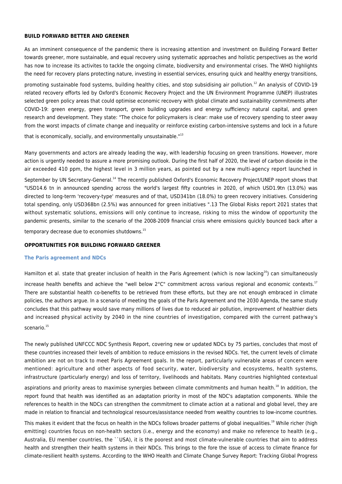#### **BUILD FORWARD BETTER AND GREENER**

As an imminent consequence of the pandemic there is increasing attention and investment on Building Forward Better towards greener, more sustainable, and equal recovery using systematic approaches and holistic perspectives as the world has now to increase its activites to tackle the ongoing climate, biodiversity and environmental crises. The WHO highlights the need for recovery plans protecting nature, investing in essential services, ensuring quick and healthy energy transitions,

promoting sustainable food systems, building healthy cities, and stop subsidising air pollution.<sup>12</sup> An analysis of COVID-19 related recovery efforts led by Oxford's Economic Recovery Project and the UN Environment Programme (UNEP) illustrates selected green policy areas that could optimise economic recovery with global climate and sustainability commitments after COVID-19: green energy, green transport, green building upgrades and energy sufficiency natural capital, and green research and development. They state: "The choice for policymakers is clear: make use of recovery spending to steer away from the worst impacts of climate change and inequality or reinforce existing carbon-intensive systems and lock in a future

that is economically, socially, and environmentally unsustainable."<sup>13</sup>

Many governments and actors are already leading the way, with leadership focusing on green transitions. However, more action is urgently needed to assure a more promising outlook. During the first half of 2020, the level of carbon dioxide in the air exceeded 410 ppm, the highest level in 3 million years, as pointed out by a new multi-agency report launched in

September by UN Secretary-General.<sup>14</sup> The recently published Oxford's Economic Recovery Project/UNEP report shows that "USD14.6 tn in announced spending across the world's largest fifty countries in 2020, of which USD1.9tn (13.0%) was directed to long-term 'recovery-type' measures and of that, USD341bn (18.0%) to green recovery initiatives. Considering total spending, only USD368bn (2.5%) was announced for green initiatives ".13 The Global Risks report 2021 states that without systematic solutions, emissions will only continue to increase, risking to miss the window of opportunity the pandemic presents, similar to the scenario of the 2008-2009 financial crisis where emissions quickly bounced back after a

temporary decrease due to economies shutdowns.<sup>15</sup>

#### **OPPORTUNITIES FOR BUILDING FORWARD GREENER**

#### **The Paris agreement and NDCs**

Hamilton et al. state that greater inclusion of health in the Paris Agreement (which is now lacking<sup>16</sup>) can simultaneously

increase health benefits and achieve the "well below  $2^{\circ}C$ " commitment across various regional and economic contexts.<sup>17</sup> There are substantial health co-benefits to be retrieved from these efforts, but they are not enough embraced in climate policies, the authors argue. In a scenario of meeting the goals of the Paris Agreement and the 2030 Agenda, the same study concludes that this pathway would save many millions of lives due to reduced air pollution, improvement of healthier diets and increased physical activity by 2040 in the nine countries of investigation, compared with the current pathway's scenario.<sup>15</sup>

The newly published UNFCCC NDC Synthesis Report, covering new or updated NDCs by 75 parties, concludes that most of these countries increased their levels of ambition to reduce emissions in the revised NDCs. Yet, the current levels of climate ambition are not on track to meet Paris Agreement goals. In the report, particularly vulnerable areas of concern were mentioned: agriculture and other aspects of food security, water, biodiversity and ecosystems, health systems, infrastructure (particularly energy) and loss of territory, livelihoods and habitats. Many countries highlighted contextual

aspirations and priority areas to maximise synergies between climate commitments and human health.<sup>18</sup> In addition, the report found that health was identified as an adaptation priority in most of the NDC's adaptation components. While the references to health in the NDCs can strengthen the commitment to climate action at a national and global level, they are made in relation to financial and technological resources/assistance needed from wealthy countries to low-income countries.

This makes it evident that the focus on health in the NDCs follows broader patterns of global inequalities.<sup>19</sup> While richer (high emitting) countries focus on non-health sectors (i.e., energy and the economy) and make no reference to health (e.g., Australia, EU member countries, the ``USA), it is the poorest and most climate-vulnerable countries that aim to address health and strengthen their health systems in their NDCs. This brings to the fore the issue of access to climate finance for climate-resilient health systems. According to the WHO Health and Climate Change Survey Report: Tracking Global Progress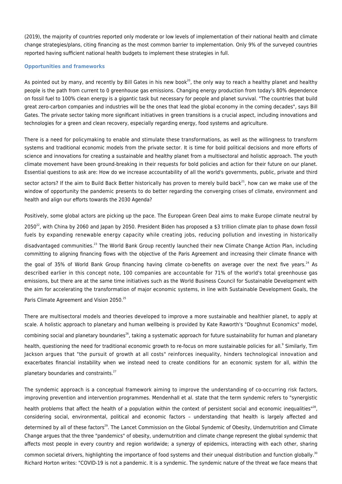(2019), the majority of countries reported only moderate or low levels of implementation of their national health and climate change strategies/plans, citing financing as the most common barrier to implementation. Only 9% of the surveyed countries reported having sufficient national health budgets to implement these strategies in full.

#### **Opportunities and frameworks**

As pointed out by many, and recently by Bill Gates in his new book<sup>20</sup>, the only way to reach a healthy planet and healthy people is the path from current to 0 greenhouse gas emissions. Changing energy production from today's 80% dependence on fossil fuel to 100% clean energy is a gigantic task but necessary for people and planet survival. "The countries that build great zero-carbon companies and industries will be the ones that lead the global economy in the coming decades", says Bill Gates. The private sector taking more significant initiatives in green transitions is a crucial aspect, including innovations and technologies for a green and clean recovery, especially regarding energy, food systems and agriculture.

There is a need for policymaking to enable and stimulate these transformations, as well as the willingness to transform systems and traditional economic models from the private sector. It is time for bold political decisions and more efforts of science and innovations for creating a sustainable and healthy planet from a multisectoral and holistic approach. The youth climate movement have been ground-breaking in their requests for bold policies and action for their future on our planet. Essential questions to ask are: How do we increase accountability of all the world's governments, public, private and third

sector actors? If the aim to Build Back Better historically has proven to merely build back<sup>21</sup>, how can we make use of the window of opportunity the pandemic presents to do better regarding the converging crises of climate, environment and health and align our efforts towards the 2030 Agenda?

Positively, some global actors are picking up the pace. The European Green Deal aims to make Europe climate neutral by

2050<sup>22</sup>, with China by 2060 and Japan by 2050. President Biden has proposed a \$3 trillion climate plan to phase down fossil fuels by expanding renewable energy capacity while creating jobs, reducing pollution and investing in historically disadvantaged communities.<sup>23</sup> The World Bank Group recently launched their new Climate Change Action Plan, including committing to aligning financing flows with the objective of the Paris Agreement and increasing their climate finance with

the goal of 35% of World Bank Group financing having climate co-benefits on average over the next five years.<sup>24</sup> As described earlier in this concept note, 100 companies are accountable for 71% of the world's total greenhouse gas emissions, but there are at the same time initiatives such as the World Business Council for Sustainable Development with the aim for accelerating the transformation of major economic systems, in line with Sustainable Development Goals, the

Paris Climate Agreement and Vision 2050.<sup>25</sup>

There are multisectoral models and theories developed to improve a more sustainable and healthier planet, to apply at scale. A holistic approach to planetary and human wellbeing is provided by Kate Raworth's "Doughnut Economics" model, combining social and planetary boundaries<sup>26</sup>, taking a systematic approach for future sustainability for human and planetary health, questioning the need for traditional economic growth to re-focus on more sustainable policies for all.<sup>9</sup> Similarly, Tim Jackson argues that "the pursuit of growth at all costs" reinforces inequality, hinders technological innovation and exacerbates financial instability when we instead need to create conditions for an economic system for all, within the planetary boundaries and constraints.<sup>27</sup>

The syndemic approach is a conceptual framework aiming to improve the understanding of co-occurring risk factors, improving prevention and intervention programmes. Mendenhall et al. state that the term syndemic refers to "synergistic health problems that affect the health of a population within the context of persistent social and economic inequalities"<sup>28</sup>, considering social, environmental, political and economic factors – understanding that health is largely affected and determined by all of these factors<sup>29</sup>. The Lancet Commission on the Global Syndemic of Obesity, Undernutrition and Climate Change argues that the three "pandemics" of obesity, undernutrition and climate change represent the global syndemic that affects most people in every country and region worldwide; a synergy of epidemics, interacting with each other, sharing

common societal drivers, highlighting the importance of food systems and their unequal distribution and function globally.<sup>30</sup> Richard Horton writes: "COVID-19 is not a pandemic. It is a syndemic. The syndemic nature of the threat we face means that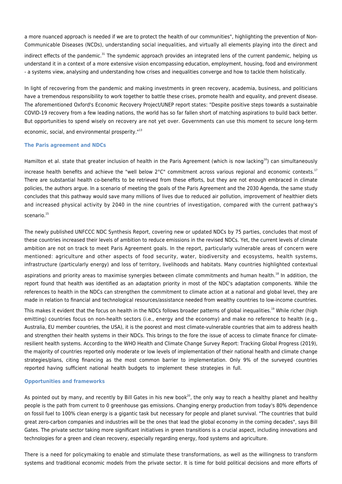a more nuanced approach is needed if we are to protect the health of our communities", highlighting the prevention of Non-Communicable Diseases (NCDs), understanding social inequalities, and virtually all elements playing into the direct and

indirect effects of the pandemic.<sup>31</sup> The syndemic approach provides an integrated lens of the current pandemic, helping us understand it in a context of a more extensive vision encompassing education, employment, housing, food and environment - a systems view, analysing and understanding how crises and inequalities converge and how to tackle them holistically.

In light of recovering from the pandemic and making investments in green recovery, academia, business, and politicians have a tremendous responsibility to work together to battle these crises, promote health and equality, and prevent disease. The aforementioned Oxford's Economic Recovery Project/UNEP report states: "Despite positive steps towards a sustainable COVID-19 recovery from a few leading nations, the world has so far fallen short of matching aspirations to build back better. But opportunities to spend wisely on recovery are not yet over. Governments can use this moment to secure long-term economic, social, and environmental prosperity."<sup>13</sup>

#### **The Paris agreement and NDCs**

Hamilton et al. state that greater inclusion of health in the Paris Agreement (which is now lacking<sup>16</sup>) can simultaneously

increase health benefits and achieve the "well below  $2^{\circ}C$ " commitment across various regional and economic contexts.<sup>17</sup> There are substantial health co-benefits to be retrieved from these efforts, but they are not enough embraced in climate policies, the authors argue. In a scenario of meeting the goals of the Paris Agreement and the 2030 Agenda, the same study concludes that this pathway would save many millions of lives due to reduced air pollution, improvement of healthier diets and increased physical activity by 2040 in the nine countries of investigation, compared with the current pathway's scenario.<sup>15</sup>

The newly published UNFCCC NDC Synthesis Report, covering new or updated NDCs by 75 parties, concludes that most of these countries increased their levels of ambition to reduce emissions in the revised NDCs. Yet, the current levels of climate ambition are not on track to meet Paris Agreement goals. In the report, particularly vulnerable areas of concern were mentioned: agriculture and other aspects of food security, water, biodiversity and ecosystems, health systems, infrastructure (particularly energy) and loss of territory, livelihoods and habitats. Many countries highlighted contextual

aspirations and priority areas to maximise synergies between climate commitments and human health.<sup>18</sup> In addition, the report found that health was identified as an adaptation priority in most of the NDC's adaptation components. While the references to health in the NDCs can strengthen the commitment to climate action at a national and global level, they are made in relation to financial and technological resources/assistance needed from wealthy countries to low-income countries.

This makes it evident that the focus on health in the NDCs follows broader patterns of global inequalities.<sup>19</sup> While richer (high emitting) countries focus on non-health sectors (i.e., energy and the economy) and make no reference to health (e.g., Australia, EU member countries, the USA), it is the poorest and most climate-vulnerable countries that aim to address health and strengthen their health systems in their NDCs. This brings to the fore the issue of access to climate finance for climateresilient health systems. According to the WHO Health and Climate Change Survey Report: Tracking Global Progress (2019), the majority of countries reported only moderate or low levels of implementation of their national health and climate change strategies/plans, citing financing as the most common barrier to implementation. Only 9% of the surveyed countries reported having sufficient national health budgets to implement these strategies in full.

#### **Opportunities and frameworks**

As pointed out by many, and recently by Bill Gates in his new book<sup>20</sup>, the only way to reach a healthy planet and healthy people is the path from current to 0 greenhouse gas emissions. Changing energy production from today's 80% dependence on fossil fuel to 100% clean energy is a gigantic task but necessary for people and planet survival. "The countries that build great zero-carbon companies and industries will be the ones that lead the global economy in the coming decades", says Bill Gates. The private sector taking more significant initiatives in green transitions is a crucial aspect, including innovations and technologies for a green and clean recovery, especially regarding energy, food systems and agriculture.

There is a need for policymaking to enable and stimulate these transformations, as well as the willingness to transform systems and traditional economic models from the private sector. It is time for bold political decisions and more efforts of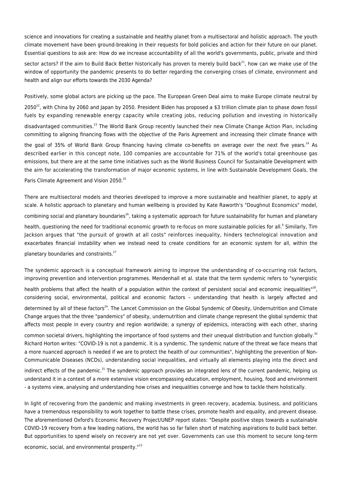science and innovations for creating a sustainable and healthy planet from a multisectoral and holistic approach. The youth climate movement have been ground-breaking in their requests for bold policies and action for their future on our planet. Essential questions to ask are: How do we increase accountability of all the world's governments, public, private and third

sector actors? If the aim to Build Back Better historically has proven to merely build back<sup>21</sup>, how can we make use of the window of opportunity the pandemic presents to do better regarding the converging crises of climate, environment and health and align our efforts towards the 2030 Agenda?

Positively, some global actors are picking up the pace. The European Green Deal aims to make Europe climate neutral by

2050<sup>22</sup>, with China by 2060 and Japan by 2050. President Biden has proposed a \$3 trillion climate plan to phase down fossil fuels by expanding renewable energy capacity while creating jobs, reducing pollution and investing in historically

disadvantaged communities.<sup>23</sup> The World Bank Group recently launched their new Climate Change Action Plan, including committing to aligning financing flows with the objective of the Paris Agreement and increasing their climate finance with

the goal of 35% of World Bank Group financing having climate co-benefits on average over the next five years.<sup>24</sup> As described earlier in this concept note, 100 companies are accountable for 71% of the world's total greenhouse gas emissions, but there are at the same time initiatives such as the World Business Council for Sustainable Development with the aim for accelerating the transformation of major economic systems, in line with Sustainable Development Goals, the

Paris Climate Agreement and Vision 2050.<sup>25</sup>

There are multisectoral models and theories developed to improve a more sustainable and healthier planet, to apply at scale. A holistic approach to planetary and human wellbeing is provided by Kate Raworth's "Doughnut Economics" model, combining social and planetary boundaries<sup>26</sup>, taking a systematic approach for future sustainability for human and planetary health, questioning the need for traditional economic growth to re-focus on more sustainable policies for all.<sup>9</sup> Similarly, Tim Jackson argues that "the pursuit of growth at all costs" reinforces inequality, hinders technological innovation and exacerbates financial instability when we instead need to create conditions for an economic system for all, within the planetary boundaries and constraints.<sup>27</sup>

The syndemic approach is a conceptual framework aiming to improve the understanding of co-occurring risk factors, improving prevention and intervention programmes. Mendenhall et al. state that the term syndemic refers to "synergistic

health problems that affect the health of a population within the context of persistent social and economic inequalities" $^{28}$ , considering social, environmental, political and economic factors – understanding that health is largely affected and determined by all of these factors<sup>29</sup>. The Lancet Commission on the Global Syndemic of Obesity, Undernutrition and Climate Change argues that the three "pandemics" of obesity, undernutrition and climate change represent the global syndemic that affects most people in every country and region worldwide; a synergy of epidemics, interacting with each other, sharing

common societal drivers, highlighting the importance of food systems and their unequal distribution and function globally.<sup>30</sup> Richard Horton writes: "COVID-19 is not a pandemic. It is a syndemic. The syndemic nature of the threat we face means that a more nuanced approach is needed if we are to protect the health of our communities", highlighting the prevention of Non-Communicable Diseases (NCDs), understanding social inequalities, and virtually all elements playing into the direct and

indirect effects of the pandemic.<sup>31</sup> The syndemic approach provides an integrated lens of the current pandemic, helping us understand it in a context of a more extensive vision encompassing education, employment, housing, food and environment - a systems view, analysing and understanding how crises and inequalities converge and how to tackle them holistically.

In light of recovering from the pandemic and making investments in green recovery, academia, business, and politicians have a tremendous responsibility to work together to battle these crises, promote health and equality, and prevent disease. The aforementioned Oxford's Economic Recovery Project/UNEP report states: "Despite positive steps towards a sustainable COVID-19 recovery from a few leading nations, the world has so far fallen short of matching aspirations to build back better. But opportunities to spend wisely on recovery are not yet over. Governments can use this moment to secure long-term economic, social, and environmental prosperity."<sup>13</sup>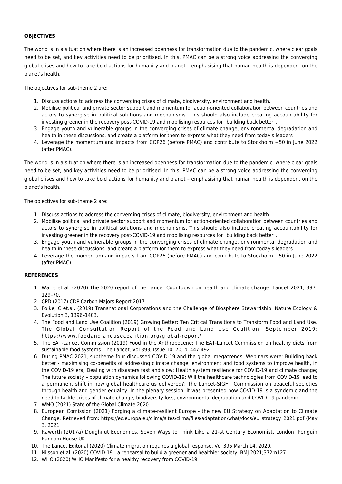#### **OBJECTIVES**

The world is in a situation where there is an increased openness for transformation due to the pandemic, where clear goals need to be set, and key activities need to be prioritised. In this, PMAC can be a strong voice addressing the converging global crises and how to take bold actions for humanity and planet – emphasising that human health is dependent on the planet's health.

The objectives for sub-theme 2 are:

- 1. Discuss actions to address the converging crises of climate, biodiversity, environment and health.
- 2. Mobilise political and private sector support and momentum for action-oriented collaboration between countries and actors to synergise in political solutions and mechanisms. This should also include creating accountability for investing greener in the recovery post-COVID-19 and mobilising resources for "building back better".
- 3. Engage youth and vulnerable groups in the converging crises of climate change, environmental degradation and health in these discussions, and create a platform for them to express what they need from today's leaders
- 4. Leverage the momentum and impacts from COP26 (before PMAC) and contribute to Stockholm +50 in June 2022 (after PMAC).

The world is in a situation where there is an increased openness for transformation due to the pandemic, where clear goals need to be set, and key activities need to be prioritised. In this, PMAC can be a strong voice addressing the converging global crises and how to take bold actions for humanity and planet – emphasising that human health is dependent on the planet's health.

The objectives for sub-theme 2 are:

- 1. Discuss actions to address the converging crises of climate, biodiversity, environment and health.
- 2. Mobilise political and private sector support and momentum for action-oriented collaboration between countries and actors to synergise in political solutions and mechanisms. This should also include creating accountability for investing greener in the recovery post-COVID-19 and mobilising resources for "building back better".
- 3. Engage youth and vulnerable groups in the converging crises of climate change, environmental degradation and health in these discussions, and create a platform for them to express what they need from today's leaders
- 4. Leverage the momentum and impacts from COP26 (before PMAC) and contribute to Stockholm +50 in June 2022 (after PMAC).

#### **REFERENCES**

- 1. Watts et al. (2020) The 2020 report of the Lancet Countdown on health and climate change. Lancet 2021; 397: 129–70.
- 2. CPD (2017) CDP Carbon Majors Report 2017.
- 3. Folke, C et.al. (2019) Transnational Corporations and the Challenge of Biosphere Stewardship. Nature Ecology & Evolution 3, 1396–1403.
- 4. The Food and Land Use Coalition (2019) Growing Better: Ten Critical Transitions to Transform Food and Land Use. The Global Consultation Report of the Food and Land Use Coalition, September 2019: https://www.foodandlandusecoalition.org/global-report/
- 5. The EAT-Lancet Commission (2019) Food in the Anthropocene: The EAT-Lancet Commission on healthy diets from sustainable food systems. The Lancet, Vol 393, Issue 10170, p. 447-492
- 6. During PMAC 2021, subtheme four discussed COVID-19 and the global megatrends. Webinars were: Building back better - maximising co-benefits of addressing climate change, environment and food systems to improve health, in the COVID-19 era; Dealing with disasters fast and slow: Health system resilience for COVID-19 and climate change; The future society – population dynamics following COVID-19; Will the healthcare technologies from COVID-19 lead to a permanent shift in how global healthcare us delivered?; The Lancet-SIGHT Commission on peaceful societies through health and gender equality. In the plenary session, it was presented how COVID-19 is a syndemic and the need to tackle crises of climate change, biodiversity loss, environmental degradation and COVID-19 pandemic.
- 7. WMO (2021) State of the Global Climate 2020.
- 8. European Comission (2021) Forging a climate-resilient Europe the new EU Strategy on Adaptation to Climate Change. Retrieved from: https://ec.europa.eu/clima/sites/clima/files/adaptation/what/docs/eu\_strategy\_2021.pdf (May 3, 2021
- 9. Raworth (2017a) Doughnut Economics. Seven Ways to Think Like a 21-st Century Economist. London: Penguin Random House UK.
- 10. The Lancet Editorial (2020) Climate migration requires a global response. Vol 395 March 14, 2020.
- 11. Nilsson et al. (2020) COVID-19—a rehearsal to build a greener and healthier society. BMJ 2021;372:n127
- 12. WHO (2020) WHO Manifesto for a healthy recovery from COVID-19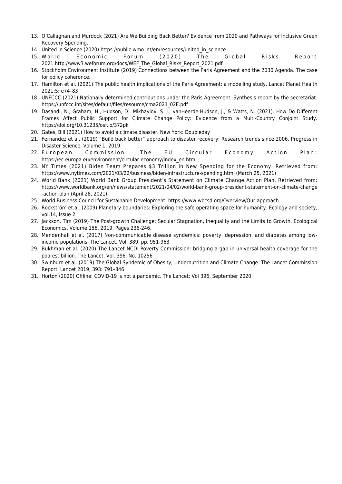- 13. O'Callaghan and Murdock (2021) Are We Building Back Better? Evidence from 2020 and Pathways for Inclusive Green Recovery Spending.
- 14. United in Science (2020) https://public.wmo.int/en/resources/united\_in\_science
- 15. World Economic Forum (2020) The Global Risks Report 2021.http://www3.weforum.org/docs/WEF\_The\_Global\_Risks\_Report\_2021.pdf
- 16. Stockholm Environment Institute (2019) Connections between the Paris Agreement and the 2030 Agenda. The case for policy coherence.
- 17. Hamilton et al. (2021) The public health implications of the Paris Agreement: a modelling study. Lancet Planet Health 2021;5: e74–83
- 18. UNFCCC (2021) Nationally determined contributions under the Paris Agreement. Synthesis report by the secretariat. https://unfccc.int/sites/default/files/resource/cma2021\_02E.pdf
- 19. Dasandi, N., Graham, H., Hudson, D., Mikhaylov, S. J., vanHeerde-Hudson, J., & Watts, N. (2021). How Do Different Frames Affect Public Support for Climate Change Policy: Evidence from a Multi-Country Conjoint Study. https://doi.org/10.31235/osf.io/372pk
- 20. Gates, Bill (2021) How to avoid a climate disaster. New York: Doubleday
- 21. Fernandez et al. (2019) "Build back better" approach to disaster recovery: Research trends since 2006. Progress in Disaster Science, Volume 1, 2019.
- 22. European Commission: The EU Circular Economy Action Plan: https://ec.europa.eu/environment/circular-economy/index\_en.htm
- 23. NY Times (2021) Biden Team Prepares \$3 Trillion in New Spending for the Economy. Retrieved from: https://www.nytimes.com/2021/03/22/business/biden-infrastructure-spending.html (March 25, 2021)
- 24. World Bank (2021) World Bank Group President's Statement on Climate Change Action Plan. Retrieved from: https://www.worldbank.org/en/news/statement/2021/04/02/world-bank-group-president-statement-on-climate-change -action-plan (April 28, 2021).
- 25. World Business Council for Sustainable Development: https://www.wbcsd.org/Overview/Our-approach
- 26. Rockström et.al. (2009) Planetary boundaries: Exploring the safe operating space for humanity. Ecology and society, vol.14, Issue 2.
- 27. Jackson, Tim (2019) The Post-growth Challenge: Secular Stagnation, Inequality and the Limits to Growth, Ecological Economics, Volume 156, 2019, Pages 236-246.
- 28. Mendenhall et el. (2017) Non-communicable disease syndemics: poverty, depression, and diabetes among lowincome populations. The Lancet, Vol. 389, pp. 951-963.
- 29. Bukhman et al. (2020) The Lancet NCDI Poverty Commission: bridging a gap in universal health coverage for the poorest billion. The Lancet, Vol. 396, No. 10256
- 30. Swinburn et al. (2019) The Global Syndemic of Obesity, Undernutrition and Climate Change: The Lancet Commission Report. Lancet 2019; 393: 791–846
- 31. Horton (2020) Offline: COVID-19 is not a pandemic. The Lancet: Vol 396, September 2020.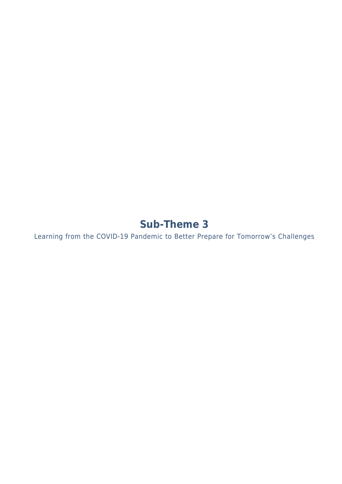# **Sub-Theme 3**

Learning from the COVID-19 Pandemic to Better Prepare for Tomorrow's Challenges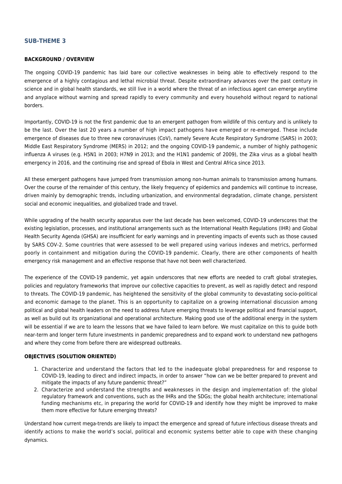#### **SUB-THEME 3**

#### **BACKGROUND / OVERVIEW**

The ongoing COVID-19 pandemic has laid bare our collective weaknesses in being able to effectively respond to the emergence of a highly contagious and lethal microbial threat. Despite extraordinary advances over the past century in science and in global health standards, we still live in a world where the threat of an infectious agent can emerge anytime and anyplace without warning and spread rapidly to every community and every household without regard to national borders.

Importantly, COVID-19 is not the first pandemic due to an emergent pathogen from wildlife of this century and is unlikely to be the last. Over the last 20 years a number of high impact pathogens have emerged or re-emerged. These include emergence of diseases due to three new coronaviruses (CoV), namely Severe Acute Respiratory Syndrome (SARS) in 2003; Middle East Respiratory Syndrome (MERS) in 2012; and the ongoing COVID-19 pandemic, a number of highly pathogenic influenza A viruses (e.g. H5N1 in 2003; H7N9 in 2013; and the H1N1 pandemic of 2009), the Zika virus as a global health emergency in 2016, and the continuing rise and spread of Ebola in West and Central Africa since 2013.

All these emergent pathogens have jumped from transmission among non-human animals to transmission among humans. Over the course of the remainder of this century, the likely frequency of epidemics and pandemics will continue to increase, driven mainly by demographic trends, including urbanization, and environmental degradation, climate change, persistent social and economic inequalities, and globalized trade and travel.

While upgrading of the health security apparatus over the last decade has been welcomed, COVID-19 underscores that the existing legislation, processes, and institutional arrangements such as the International Health Regulations (IHR) and Global Health Security Agenda (GHSA) are insufficient for early warnings and in preventing impacts of events such as those caused by SARS COV-2. Some countries that were assessed to be well prepared using various indexes and metrics, performed poorly in containment and mitigation during the COVID-19 pandemic. Clearly, there are other components of health emergency risk management and an effective response that have not been well characterized.

The experience of the COVID-19 pandemic, yet again underscores that new efforts are needed to craft global strategies, policies and regulatory frameworks that improve our collective capacities to prevent, as well as rapidly detect and respond to threats. The COVID-19 pandemic, has heightened the sensitivity of the global community to devastating socio-political and economic damage to the planet. This is an opportunity to capitalize on a growing international discussion among political and global health leaders on the need to address future emerging threats to leverage political and financial support, as well as build out its organizational and operational architecture. Making good use of the additional energy in the system will be essential if we are to learn the lessons that we have failed to learn before. We must capitalize on this to guide both near-term and longer term future investments in pandemic preparedness and to expand work to understand new pathogens and where they come from before there are widespread outbreaks.

#### **OBJECTIVES (SOLUTION ORIENTED)**

- 1. Characterize and understand the factors that led to the inadequate global preparedness for and response to COVID-19, leading to direct and indirect impacts, in order to answer "how can we be better prepared to prevent and mitigate the impacts of any future pandemic threat?"
- 2. Characterize and understand the strengths and weaknesses in the design and implementation of: the global regulatory framework and conventions, such as the IHRs and the SDGs; the global health architecture; international funding mechanisms etc, in preparing the world for COVID-19 and identify how they might be improved to make them more effective for future emerging threats?

Understand how current mega-trends are likely to impact the emergence and spread of future infectious disease threats and identify actions to make the world's social, political and economic systems better able to cope with these changing dynamics.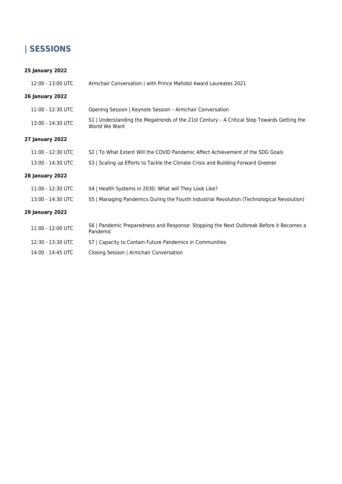## **| SESSIONS**

#### **25 January 2022**

| 12:00 - 13:00 UTC      | Armchair Conversation   with Prince Mahidol Award Laureates 2021                                             |
|------------------------|--------------------------------------------------------------------------------------------------------------|
| <b>26 January 2022</b> |                                                                                                              |
| 11:00 - 12:30 UTC      | Opening Session   Keynote Session - Armchair Conversation                                                    |
| 13:00 - 14:30 UTC      | S1   Understanding the Megatrends of the 21st Century - A Critical Step Towards Getting the<br>World We Want |
| <b>27 January 2022</b> |                                                                                                              |
| 11:00 - 12:30 UTC      | S2   To What Extent Will the COVID Pandemic Affect Achievement of the SDG Goals                              |
| 13:00 - 14:30 UTC      | S3   Scaling up Efforts to Tackle the Climate Crisis and Building Forward Greener                            |
| <b>28 January 2022</b> |                                                                                                              |
| 11:00 - 12:30 UTC      | S4   Health Systems in 2030: What will They Look Like?                                                       |
| 13:00 - 14:30 UTC      | S5   Managing Pandemics During the Fourth Industrial Revolution (Technological Revolution)                   |
| <b>29 January 2022</b> |                                                                                                              |
| 11:00 - 12:00 UTC      | S6   Pandemic Preparedness and Response: Stopping the Next Outbreak Before it Becomes a<br>Pandemic          |
| 12:30 - 13:30 UTC      | S7   Capacity to Contain Future Pandemics in Communities                                                     |
| 14:00 - 14:45 UTC      | Closing Session   Armchair Conversation                                                                      |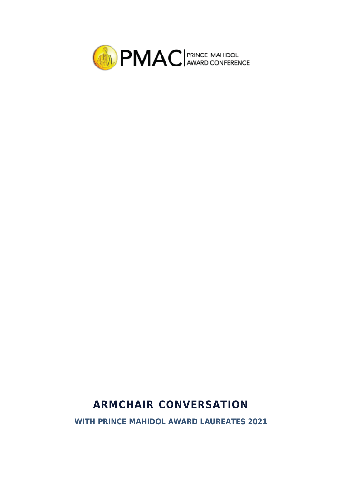

# **ARMCHAIR CONVERSATION**

**WITH PRINCE MAHIDOL AWARD LAUREATES 2021**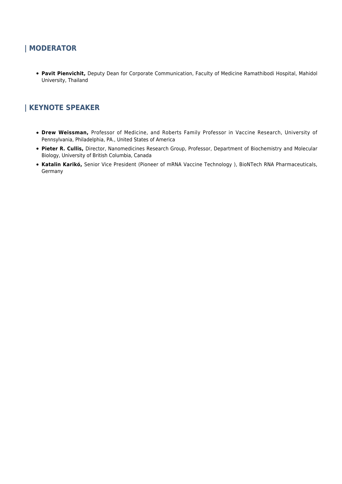## **| MODERATOR**

**Pavit Pienvichit,** Deputy Dean for Corporate Communication, Faculty of Medicine Ramathibodi Hospital, Mahidol University, Thailand

## **| KEYNOTE SPEAKER**

- **Drew Weissman,** Professor of Medicine, and Roberts Family Professor in Vaccine Research, University of Pennsylvania, Philadelphia, PA., United States of America
- **Pieter R. Cullis,** Director, Nanomedicines Research Group, Professor, Department of Biochemistry and Molecular Biology, University of British Columbia, Canada
- **Katalin Karikó,** Senior Vice President (Pioneer of mRNA Vaccine Technology ), BioNTech RNA Pharmaceuticals, Germany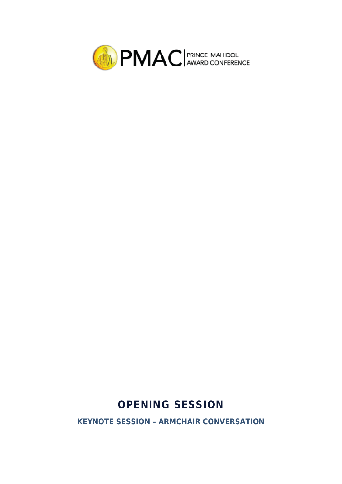

# **OPENING SESSION**

**KEYNOTE SESSION – ARMCHAIR CONVERSATION**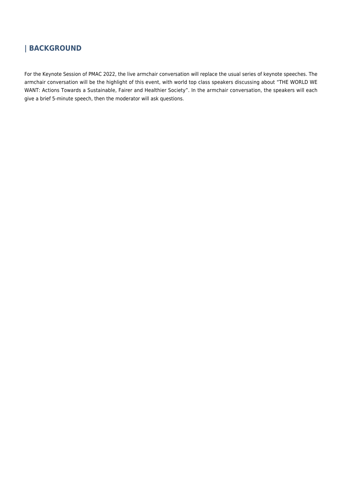## **| BACKGROUND**

For the Keynote Session of PMAC 2022, the live armchair conversation will replace the usual series of keynote speeches. The armchair conversation will be the highlight of this event, with world top class speakers discussing about "THE WORLD WE WANT: Actions Towards a Sustainable, Fairer and Healthier Society". In the armchair conversation, the speakers will each give a brief 5-minute speech, then the moderator will ask questions.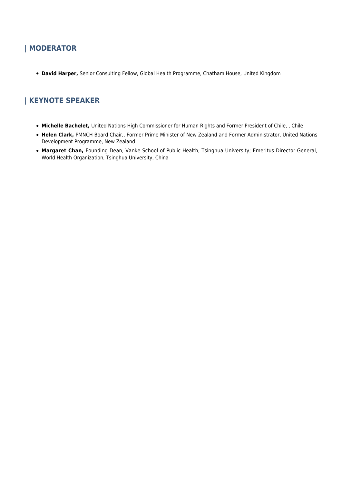## **| MODERATOR**

**David Harper,** Senior Consulting Fellow, Global Health Programme, Chatham House, United Kingdom

## **| KEYNOTE SPEAKER**

- **Michelle Bachelet,** United Nations High Commissioner for Human Rights and Former President of Chile, , Chile
- **Helen Clark,** PMNCH Board Chair,, Former Prime Minister of New Zealand and Former Administrator, United Nations Development Programme, New Zealand
- **Margaret Chan,** Founding Dean, Vanke School of Public Health, Tsinghua University; Emeritus Director-General, World Health Organization, Tsinghua University, China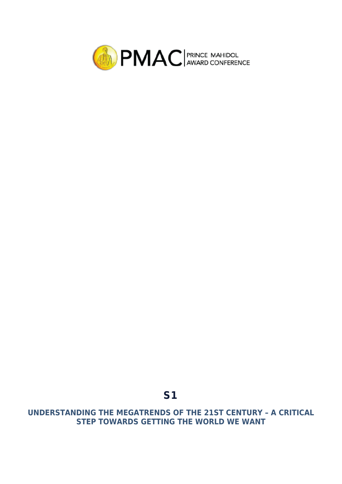

# **S1**

**UNDERSTANDING THE MEGATRENDS OF THE 21ST CENTURY – A CRITICAL STEP TOWARDS GETTING THE WORLD WE WANT**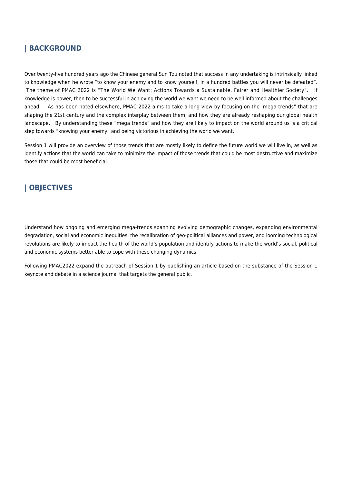#### **| BACKGROUND**

Over twenty-five hundred years ago the Chinese general Sun Tzu noted that success in any undertaking is intrinsically linked to knowledge when he wrote "to know your enemy and to know yourself, in a hundred battles you will never be defeated". The theme of PMAC 2022 is "The World We Want: Actions Towards a Sustainable, Fairer and Healthier Society". If knowledge is power, then to be successful in achieving the world we want we need to be well informed about the challenges ahead. As has been noted elsewhere, PMAC 2022 aims to take a long view by focusing on the 'mega trends" that are shaping the 21st century and the complex interplay between them, and how they are already reshaping our global health landscape. By understanding these "mega trends" and how they are likely to impact on the world around us is a critical step towards "knowing your enemy" and being victorious in achieving the world we want.

Session 1 will provide an overview of those trends that are mostly likely to define the future world we will live in, as well as identify actions that the world can take to minimize the impact of those trends that could be most destructive and maximize those that could be most beneficial.

## **| OBJECTIVES**

Understand how ongoing and emerging mega-trends spanning evolving demographic changes, expanding environmental degradation, social and economic inequities, the recalibration of geo-political alliances and power, and looming technological revolutions are likely to impact the health of the world's population and identify actions to make the world's social, political and economic systems better able to cope with these changing dynamics.

Following PMAC2022 expand the outreach of Session 1 by publishing an article based on the substance of the Session 1 keynote and debate in a science journal that targets the general public.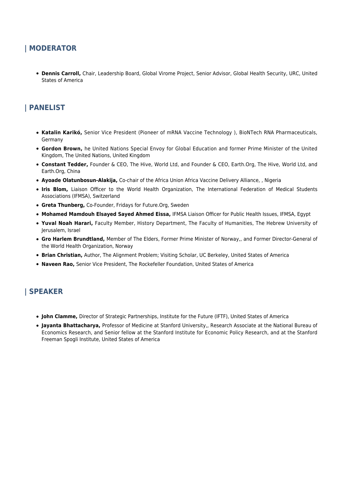#### **| MODERATOR**

**Dennis Carroll,** Chair, Leadership Board, Global Virome Project, Senior Advisor, Global Health Security, URC, United States of America

## **| PANELIST**

- **Katalin Karikó,** Senior Vice President (Pioneer of mRNA Vaccine Technology ), BioNTech RNA Pharmaceuticals, Germany
- **Gordon Brown,** he United Nations Special Envoy for Global Education and former Prime Minister of the United Kingdom, The United Nations, United Kingdom
- **Constant Tedder,** Founder & CEO, The Hive, World Ltd, and Founder & CEO, Earth.Org, The Hive, World Ltd, and Earth.Org, China
- **Ayoade Olatunbosun-Alakija,** Co-chair of the Africa Union Africa Vaccine Delivery Alliance, , Nigeria
- **Iris Blom,** Liaison Officer to the World Health Organization, The International Federation of Medical Students Associations (IFMSA), Switzerland
- **Greta Thunberg,** Co-Founder, Fridays for Future.Org, Sweden
- **Mohamed Mamdouh Elsayed Sayed Ahmed Eissa,** IFMSA Liaison Officer for Public Health Issues, IFMSA, Egypt
- **Yuval Noah Harari,** Faculty Member, History Department, The Faculty of Humanities, The Hebrew University of Jerusalem, Israel
- **Gro Harlem Brundtland,** Member of The Elders, Former Prime Minister of Norway,, and Former Director-General of the World Health Organization, Norway
- **Brian Christian,** Author, The Alignment Problem; Visiting Scholar, UC Berkeley, United States of America
- **Naveen Rao,** Senior Vice President, The Rockefeller Foundation, United States of America

#### **| SPEAKER**

- **John Clamme,** Director of Strategic Partnerships, Institute for the Future (IFTF), United States of America
- **Jayanta Bhattacharya,** Professor of Medicine at Stanford University,, Research Associate at the National Bureau of Economics Research, and Senior fellow at the Stanford Institute for Economic Policy Research, and at the Stanford Freeman Spogli Institute, United States of America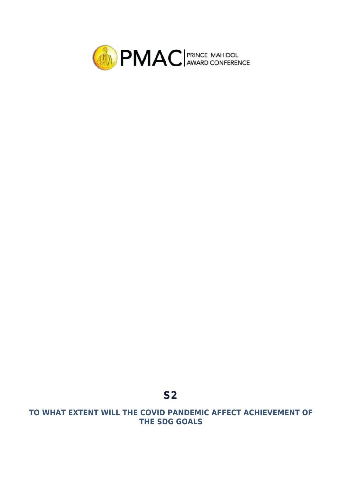

## **TO WHAT EXTENT WILL THE COVID PANDEMIC AFFECT ACHIEVEMENT OF THE SDG GOALS**

**S2**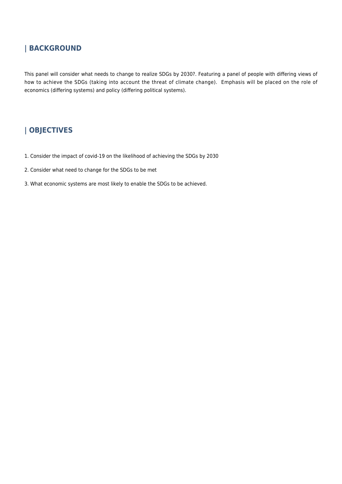## **| BACKGROUND**

This panel will consider what needs to change to realize SDGs by 2030?. Featuring a panel of people with differing views of how to achieve the SDGs (taking into account the threat of climate change). Emphasis will be placed on the role of economics (differing systems) and policy (differing political systems).

## **| OBJECTIVES**

- 1. Consider the impact of covid-19 on the likelihood of achieving the SDGs by 2030
- 2. Consider what need to change for the SDGs to be met
- 3. What economic systems are most likely to enable the SDGs to be achieved.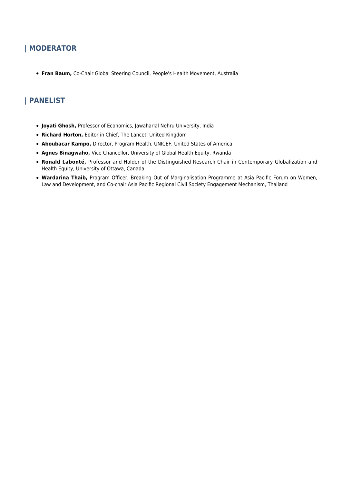## **| MODERATOR**

**Fran Baum,** Co-Chair Global Steering Council, People's Health Movement, Australia

## **| PANELIST**

- **Joyati Ghosh,** Professor of Economics, Jawaharlal Nehru University, India
- **Richard Horton,** Editor in Chief, The Lancet, United Kingdom
- **Aboubacar Kampo,** Director, Program Health, UNICEF, United States of America
- **Agnes Binagwaho,** Vice Chancellor, University of Global Health Equity, Rwanda
- **Ronald Labonté,** Professor and Holder of the Distinguished Research Chair in Contemporary Globalization and Health Equity, University of Ottawa, Canada
- **Wardarina Thaib,** Program Officer, Breaking Out of Marginalisation Programme at Asia Pacific Forum on Women, Law and Development, and Co-chair Asia Pacific Regional Civil Society Engagement Mechanism, Thailand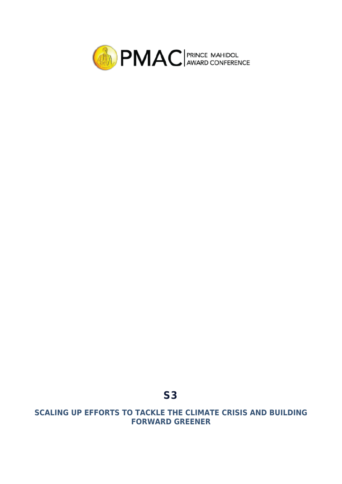

## **SCALING UP EFFORTS TO TACKLE THE CLIMATE CRISIS AND BUILDING FORWARD GREENER**

**S3**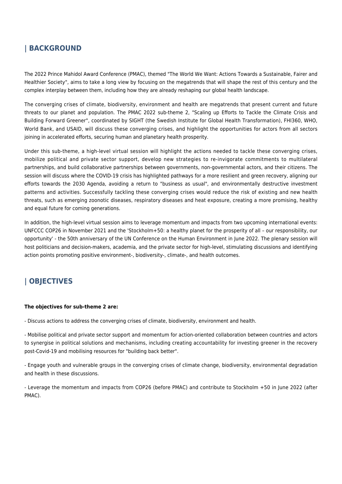## **| BACKGROUND**

The 2022 Prince Mahidol Award Conference (PMAC), themed "The World We Want: Actions Towards a Sustainable, Fairer and Healthier Society", aims to take a long view by focusing on the megatrends that will shape the rest of this century and the complex interplay between them, including how they are already reshaping our global health landscape.

The converging crises of climate, biodiversity, environment and health are megatrends that present current and future threats to our planet and population. The PMAC 2022 sub-theme 2, "Scaling up Efforts to Tackle the Climate Crisis and Building Forward Greener", coordinated by SIGHT (the Swedish Institute for Global Health Transformation), FHI360, WHO, World Bank, and USAID, will discuss these converging crises, and highlight the opportunities for actors from all sectors joining in accelerated efforts, securing human and planetary health prosperity.

Under this sub-theme, a high-level virtual session will highlight the actions needed to tackle these converging crises, mobilize political and private sector support, develop new strategies to re-invigorate commitments to multilateral partnerships, and build collaborative partnerships between governments, non-governmental actors, and their citizens. The session will discuss where the COVID-19 crisis has highlighted pathways for a more resilient and green recovery, aligning our efforts towards the 2030 Agenda, avoiding a return to "business as usual", and environmentally destructive investment patterns and activities. Successfully tackling these converging crises would reduce the risk of existing and new health threats, such as emerging zoonotic diseases, respiratory diseases and heat exposure, creating a more promising, healthy and equal future for coming generations.

In addition, the high-level virtual session aims to leverage momentum and impacts from two upcoming international events: UNFCCC COP26 in November 2021 and the 'Stockholm+50: a healthy planet for the prosperity of all – our responsibility, our opportunity' - the 50th anniversary of the UN Conference on the Human Environment in June 2022. The plenary session will host politicians and decision-makers, academia, and the private sector for high-level, stimulating discussions and identifying action points promoting positive environment-, biodiversity-, climate-, and health outcomes.

## **| OBJECTIVES**

#### **The objectives for sub-theme 2 are:**

- Discuss actions to address the converging crises of climate, biodiversity, environment and health.

- Mobilise political and private sector support and momentum for action-oriented collaboration between countries and actors to synergise in political solutions and mechanisms, including creating accountability for investing greener in the recovery post-Covid-19 and mobilising resources for "building back better".

- Engage youth and vulnerable groups in the converging crises of climate change, biodiversity, environmental degradation and health in these discussions.

- Leverage the momentum and impacts from COP26 (before PMAC) and contribute to Stockholm +50 in June 2022 (after PMAC).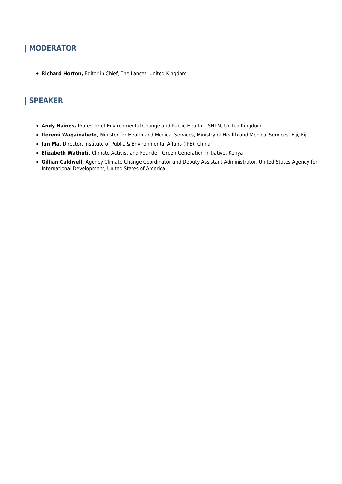## **| MODERATOR**

**Richard Horton,** Editor in Chief, The Lancet, United Kingdom

## **| SPEAKER**

- **Andy Haines,** Professor of Environmental Change and Public Health, LSHTM, United Kingdom
- **Iferemi Waqainabete,** Minister for Health and Medical Services, Ministry of Health and Medical Services, Fiji, Fiji
- **Jun Ma,** Director, Institute of Public & Environmental Affairs (IPE), China
- **Elizabeth Wathuti,** Climate Activist and Founder, Green Generation Initiative, Kenya
- **Gillian Caldwell,** Agency Climate Change Coordinator and Deputy Assistant Administrator, United States Agency for International Development, United States of America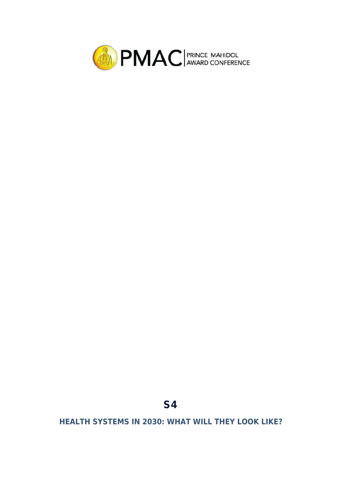

# **S4**

**HEALTH SYSTEMS IN 2030: WHAT WILL THEY LOOK LIKE?**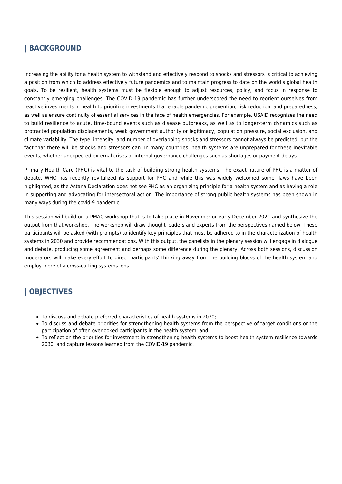#### **| BACKGROUND**

Increasing the ability for a health system to withstand and effectively respond to shocks and stressors is critical to achieving a position from which to address effectively future pandemics and to maintain progress to date on the world's global health goals. To be resilient, health systems must be flexible enough to adjust resources, policy, and focus in response to constantly emerging challenges. The COVID-19 pandemic has further underscored the need to reorient ourselves from reactive investments in health to prioritize investments that enable pandemic prevention, risk reduction, and preparedness, as well as ensure continuity of essential services in the face of health emergencies. For example, USAID recognizes the need to build resilience to acute, time-bound events such as disease outbreaks, as well as to longer-term dynamics such as protracted population displacements, weak government authority or legitimacy, population pressure, social exclusion, and climate variability. The type, intensity, and number of overlapping shocks and stressors cannot always be predicted, but the fact that there will be shocks and stressors can. In many countries, health systems are unprepared for these inevitable events, whether unexpected external crises or internal governance challenges such as shortages or payment delays.

Primary Health Care (PHC) is vital to the task of building strong health systems. The exact nature of PHC is a matter of debate. WHO has recently revitalized its support for PHC and while this was widely welcomed some flaws have been highlighted, as the Astana Declaration does not see PHC as an organizing principle for a health system and as having a role in supporting and advocating for intersectoral action. The importance of strong public health systems has been shown in many ways during the covid-9 pandemic.

This session will build on a PMAC workshop that is to take place in November or early December 2021 and synthesize the output from that workshop. The workshop will draw thought leaders and experts from the perspectives named below. These participants will be asked (with prompts) to identify key principles that must be adhered to in the characterization of health systems in 2030 and provide recommendations. With this output, the panelists in the plenary session will engage in dialogue and debate, producing some agreement and perhaps some difference during the plenary. Across both sessions, discussion moderators will make every effort to direct participants' thinking away from the building blocks of the health system and employ more of a cross-cutting systems lens.

## **| OBJECTIVES**

- To discuss and debate preferred characteristics of health systems in 2030;
- To discuss and debate priorities for strengthening health systems from the perspective of target conditions or the participation of often overlooked participants in the health system; and
- To reflect on the priorities for investment in strengthening health systems to boost health system resilience towards 2030, and capture lessons learned from the COVID-19 pandemic.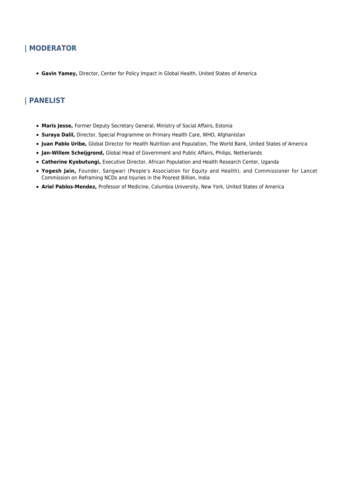## **| MODERATOR**

**Gavin Yamey,** Director, Center for Policy Impact in Global Health, United States of America

## **| PANELIST**

- **Maris Jesse,** Former Deputy Secretary General, Ministry of Social Affairs, Estonia
- **Suraya Dalil,** Director, Special Programme on Primary Health Care, WHO, Afghanistan
- **Juan Pablo Uribe,** Global Director for Health Nutrition and Population, The World Bank, United States of America
- **Jan-Willem Scheijgrond,** Global Head of Government and Public Affairs, Philips, Netherlands
- **Catherine Kyobutungi,** Executive Director, African Population and Health Research Center, Uganda
- **Yogesh Jain,** Founder, Sangwari (People's Association for Equity and Health), and Commissioner for Lancet Commission on Reframing NCDs and Injuries in the Poorest Billion, India
- **Ariel Pablos-Mendez,** Professor of Medicine, Columbia University, New York, United States of America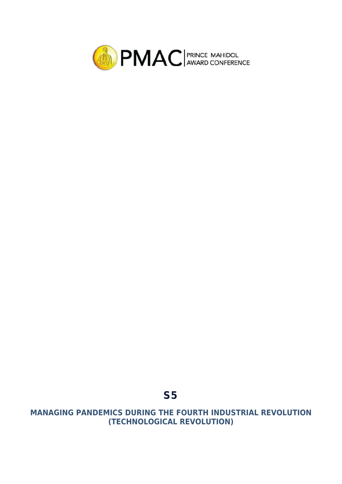

## **MANAGING PANDEMICS DURING THE FOURTH INDUSTRIAL REVOLUTION (TECHNOLOGICAL REVOLUTION)**

**S5**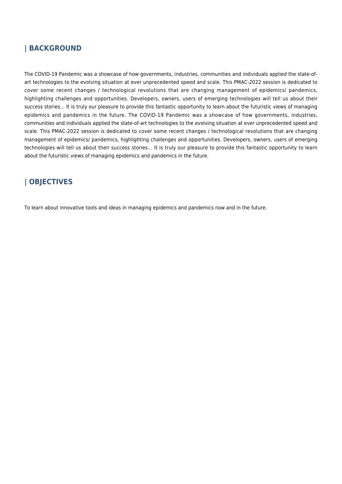#### **| BACKGROUND**

The COVID-19 Pandemic was a showcase of how governments, industries, communities and individuals applied the state-ofart technologies to the evolving situation at ever unprecedented speed and scale. This PMAC-2022 session is dedicated to cover some recent changes / technological revolutions that are changing management of epidemics/ pandemics, highlighting challenges and opportunities. Developers, owners, users of emerging technologies will tell us about their success stories… It is truly our pleasure to provide this fantastic opportunity to learn about the futuristic views of managing epidemics and pandemics in the future. The COVID-19 Pandemic was a showcase of how governments, industries, communities and individuals applied the state-of-art technologies to the evolving situation at ever unprecedented speed and scale. This PMAC-2022 session is dedicated to cover some recent changes / technological revolutions that are changing management of epidemics/ pandemics, highlighting challenges and opportunities. Developers, owners, users of emerging technologies will tell us about their success stories… It is truly our pleasure to provide this fantastic opportunity to learn about the futuristic views of managing epidemics and pandemics in the future.

## **| OBJECTIVES**

To learn about innovative tools and ideas in managing epidemics and pandemics now and in the future.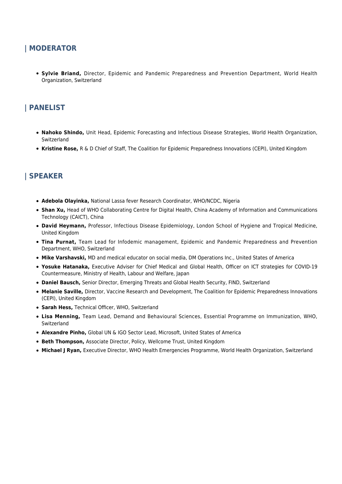#### **| MODERATOR**

**Sylvie Briand,** Director, Epidemic and Pandemic Preparedness and Prevention Department, World Health Organization, Switzerland

## **| PANELIST**

- **Nahoko Shindo,** Unit Head, Epidemic Forecasting and Infectious Disease Strategies, World Health Organization, Switzerland
- **Kristine Rose,** R & D Chief of Staff, The Coalition for Epidemic Preparedness Innovations (CEPI), United Kingdom

#### **| SPEAKER**

- **Adebola Olayinka,** National Lassa fever Research Coordinator, WHO/NCDC, Nigeria
- **Shan Xu, Head of WHO Collaborating Centre for Digital Health, China Academy of Information and Communications** Technology (CAICT), China
- **David Heymann,** Professor, Infectious Disease Epidemiology, London School of Hygiene and Tropical Medicine, United Kingdom
- **Tina Purnat,** Team Lead for Infodemic management, Epidemic and Pandemic Preparedness and Prevention Department, WHO, Switzerland
- **Mike Varshavski,** MD and medical educator on social media, DM Operations Inc., United States of America
- **Yosuke Hatanaka,** Executive Adviser for Chief Medical and Global Health, Officer on ICT strategies for COVID-19 Countermeasure, Ministry of Health, Labour and Welfare, Japan
- **Daniel Bausch,** Senior Director, Emerging Threats and Global Health Security, FIND, Switzerland
- **Melanie Saville,** Director, Vaccine Research and Development, The Coalition for Epidemic Preparedness Innovations (CEPI), United Kingdom
- **Sarah Hess,** Technical Officer, WHO, Switzerland
- **Lisa Menning,** Team Lead, Demand and Behavioural Sciences, Essential Programme on Immunization, WHO, Switzerland
- **Alexandre Pinho,** Global UN & IGO Sector Lead, Microsoft, United States of America
- **Beth Thompson,** Associate Director, Policy, Wellcome Trust, United Kingdom
- **Michael J Ryan,** Executive Director, WHO Health Emergencies Programme, World Health Organization, Switzerland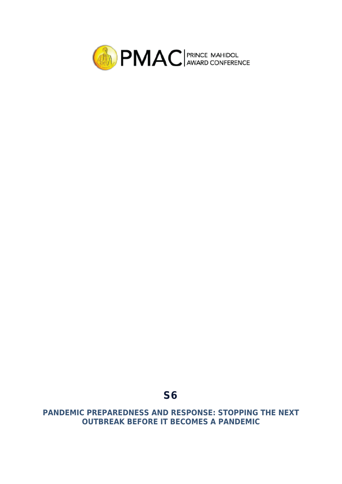

## **PANDEMIC PREPAREDNESS AND RESPONSE: STOPPING THE NEXT OUTBREAK BEFORE IT BECOMES A PANDEMIC**

**S6**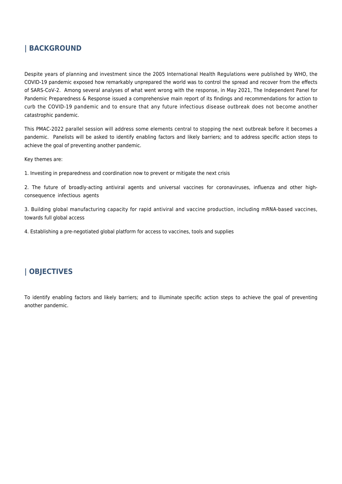#### **| BACKGROUND**

Despite years of planning and investment since the 2005 International Health Regulations were published by WHO, the COVID-19 pandemic exposed how remarkably unprepared the world was to control the spread and recover from the effects of SARS-CoV-2. Among several analyses of what went wrong with the response, in May 2021, The Independent Panel for Pandemic Preparedness & Response issued a comprehensive main report of its findings and recommendations for action to curb the COVID-19 pandemic and to ensure that any future infectious disease outbreak does not become another catastrophic pandemic.

This PMAC-2022 parallel session will address some elements central to stopping the next outbreak before it becomes a pandemic. Panelists will be asked to identify enabling factors and likely barriers; and to address specific action steps to achieve the goal of preventing another pandemic.

Key themes are:

1. Investing in preparedness and coordination now to prevent or mitigate the next crisis

2. The future of broadly-acting antiviral agents and universal vaccines for coronaviruses, influenza and other highconsequence infectious agents

3. Building global manufacturing capacity for rapid antiviral and vaccine production, including mRNA-based vaccines, towards full global access

4. Establishing a pre-negotiated global platform for access to vaccines, tools and supplies

## **| OBJECTIVES**

To identify enabling factors and likely barriers; and to illuminate specific action steps to achieve the goal of preventing another pandemic.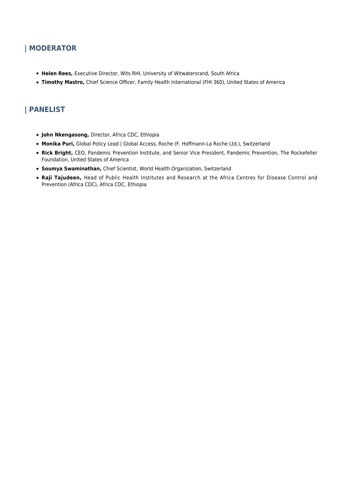## **| MODERATOR**

- **Helen Rees,** Executive Director, Wits RHI, University of Witwatersrand, South Africa
- **Timothy Mastro,** Chief Science Officer, Family Health International (FHI 360), United States of America

## **| PANELIST**

- **John Nkengasong,** Director, Africa CDC, Ethiopia
- **Monika Puri,** Global Policy Lead | Global Access, Roche (F. Hoffmann-La Roche Ltd.), Switzerland
- **Rick Bright,** CEO, Pandemic Prevention Institute, and Senior Vice President, Pandemic Prevention, The Rockefeller Foundation, United States of America
- **Soumya Swaminathan,** Chief Scientist, World Health Organization, Switzerland
- **Raji Tajudeen,** Head of Public Health Institutes and Research at the Africa Centres for Disease Control and Prevention (Africa CDC), Africa CDC, Ethiopia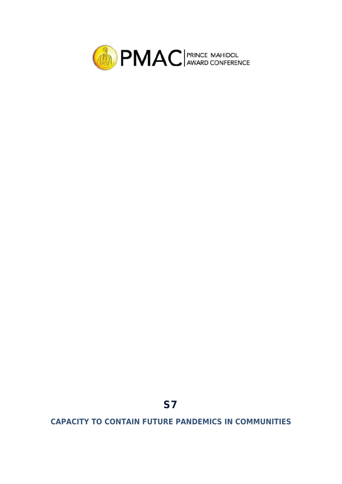

# **S7**

**CAPACITY TO CONTAIN FUTURE PANDEMICS IN COMMUNITIES**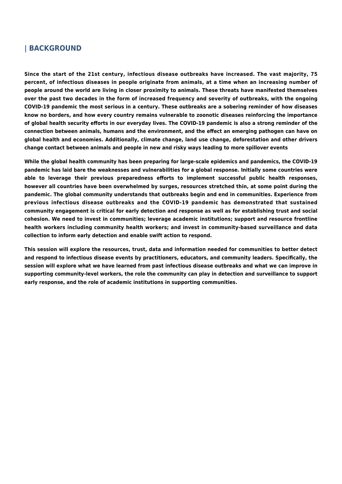#### **| BACKGROUND**

**Since the start of the 21st century, infectious disease outbreaks have increased. The vast majority, 75 percent, of infectious diseases in people originate from animals, at a time when an increasing number of people around the world are living in closer proximity to animals. These threats have manifested themselves over the past two decades in the form of increased frequency and severity of outbreaks, with the ongoing COVID-19 pandemic the most serious in a century. These outbreaks are a sobering reminder of how diseases know no borders, and how every country remains vulnerable to zoonotic diseases reinforcing the importance of global health security efforts in our everyday lives. The COVID-19 pandemic is also a strong reminder of the connection between animals, humans and the environment, and the effect an emerging pathogen can have on global health and economies. Additionally, climate change, land use change, deforestation and other drivers change contact between animals and people in new and risky ways leading to more spillover events**

**While the global health community has been preparing for large-scale epidemics and pandemics, the COVID-19 pandemic has laid bare the weaknesses and vulnerabilities for a global response. Initially some countries were able to leverage their previous preparedness efforts to implement successful public health responses, however all countries have been overwhelmed by surges, resources stretched thin, at some point during the pandemic. The global community understands that outbreaks begin and end in communities. Experience from previous infectious disease outbreaks and the COVID-19 pandemic has demonstrated that sustained community engagement is critical for early detection and response as well as for establishing trust and social cohesion. We need to invest in communities; leverage academic institutions; support and resource frontline health workers including community health workers; and invest in community-based surveillance and data collection to inform early detection and enable swift action to respond.**

**This session will explore the resources, trust, data and information needed for communities to better detect and respond to infectious disease events by practitioners, educators, and community leaders. Specifically, the session will explore what we have learned from past infectious disease outbreaks and what we can improve in supporting community-level workers, the role the community can play in detection and surveillance to support early response, and the role of academic institutions in supporting communities.**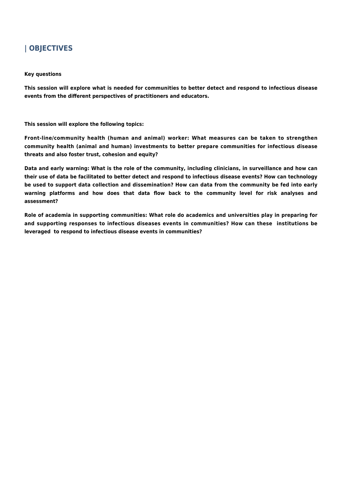## **| OBJECTIVES**

#### **Key questions**

**This session will explore what is needed for communities to better detect and respond to infectious disease events from the different perspectives of practitioners and educators.**

**This session will explore the following topics:**

**Front-line/community health (human and animal) worker: What measures can be taken to strengthen community health (animal and human) investments to better prepare communities for infectious disease threats and also foster trust, cohesion and equity?**

**Data and early warning: What is the role of the community, including clinicians, in surveillance and how can their use of data be facilitated to better detect and respond to infectious disease events? How can technology be used to support data collection and dissemination? How can data from the community be fed into early warning platforms and how does that data flow back to the community level for risk analyses and assessment?** 

**Role of academia in supporting communities: What role do academics and universities play in preparing for and supporting responses to infectious diseases events in communities? How can these institutions be leveraged to respond to infectious disease events in communities?**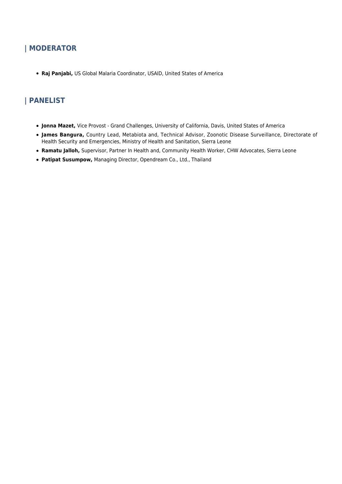## **| MODERATOR**

**Raj Panjabi,** US Global Malaria Coordinator, USAID, United States of America

## **| PANELIST**

- **Jonna Mazet,** Vice Provost Grand Challenges, University of California, Davis, United States of America
- **James Bangura,** Country Lead, Metabiota and, Technical Advisor, Zoonotic Disease Surveillance, Directorate of Health Security and Emergencies, Ministry of Health and Sanitation, Sierra Leone
- **Ramatu Jalloh,** Supervisor, Partner In Health and, Community Health Worker, CHW Advocates, Sierra Leone
- **Patipat Susumpow,** Managing Director, Opendream Co., Ltd., Thailand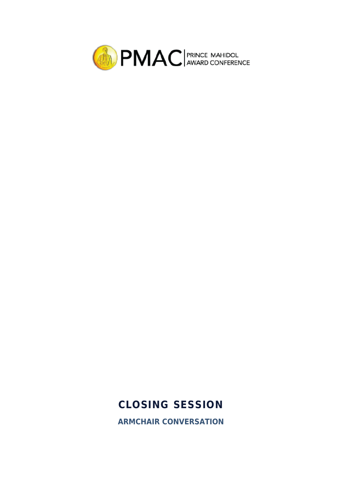

# **CLOSING SESSION**

**ARMCHAIR CONVERSATION**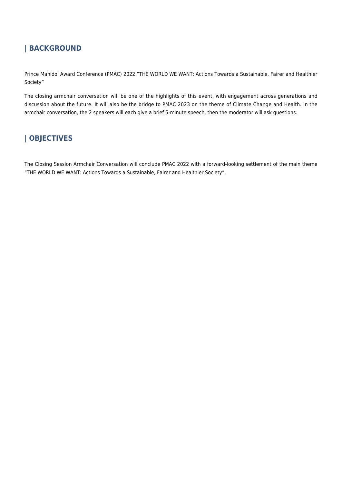## **| BACKGROUND**

Prince Mahidol Award Conference (PMAC) 2022 "THE WORLD WE WANT: Actions Towards a Sustainable, Fairer and Healthier Society"

The closing armchair conversation will be one of the highlights of this event, with engagement across generations and discussion about the future. It will also be the bridge to PMAC 2023 on the theme of Climate Change and Health. In the armchair conversation, the 2 speakers will each give a brief 5-minute speech, then the moderator will ask questions.

## **| OBJECTIVES**

The Closing Session Armchair Conversation will conclude PMAC 2022 with a forward-looking settlement of the main theme "THE WORLD WE WANT: Actions Towards a Sustainable, Fairer and Healthier Society".